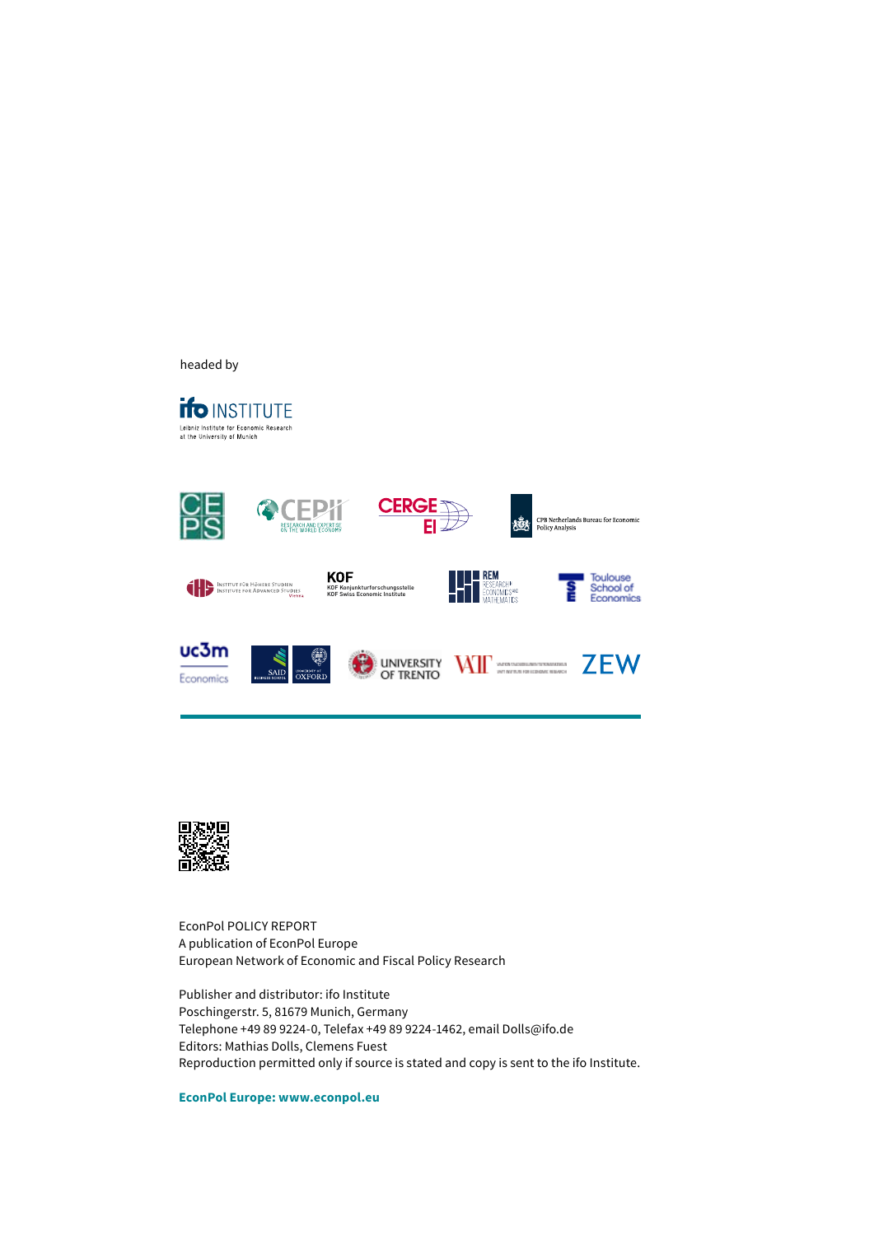EconPol Europe - a joint policy initiative of





EconPol is CESifo's economic policy platform. With key support from the ifo Institute, it seeks to leverage CESifo's globe-spanning network of 1800 high-ranked economists - eleven of whom have won the Nobel Prize - and ifo's decades-deep research expertise to provide well-founded advice to European policymakers. Drawing on the wide range of specializations of its members, EconPol's mission is to

, 1 12013, 139,5621  $\boxtimes$ ,  $\boxtimes$  ) 6 139,563,1956  $\boxtimes$ evolving challenges faced by the European Union, to the ultimate benefit of all its



member states.

EconPol POLICY BRIEF A publication of the CESifo Research Network

Publisher and distributor: CESifo GmbH Poschingerstr. 5, 81679 Munich, Germany **MADO**, X Editors: Clemens Fuest, Mathias Dolls Reproduction permitted only if source is stated and copy is sent to CESifo.

EconPol Europe: www.econpol.eu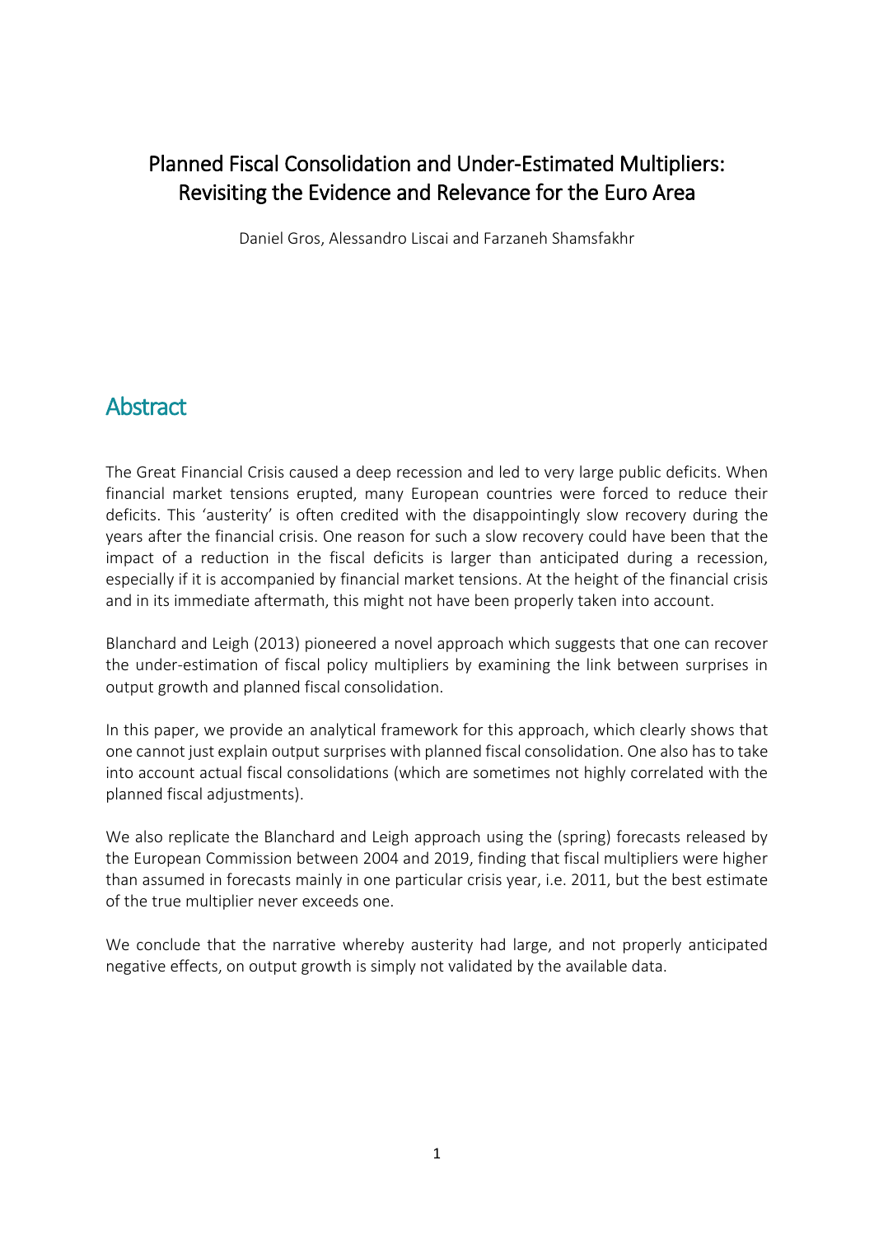## Planned Fiscal Consolidation and Under-Estimated Multipliers: Revisiting the Evidence and Relevance for the Euro Area

Daniel Gros, Alessandro Liscai and Farzaneh Shamsfakhr

## **Abstract**

The Great Financial Crisis caused a deep recession and led to very large public deficits. When financial market tensions erupted, many European countries were forced to reduce their deficits. This 'austerity' is often credited with the disappointingly slow recovery during the years after the financial crisis. One reason for such a slow recovery could have been that the impact of a reduction in the fiscal deficits is larger than anticipated during a recession, especially if it is accompanied by financial market tensions. At the height of the financial crisis and in its immediate aftermath, this might not have been properly taken into account.

Blanchard and Leigh (2013) pioneered a novel approach which suggests that one can recover the under-estimation of fiscal policy multipliers by examining the link between surprises in output growth and planned fiscal consolidation.

In this paper, we provide an analytical framework for this approach, which clearly shows that one cannot just explain output surprises with planned fiscal consolidation. One also has to take into account actual fiscal consolidations (which are sometimes not highly correlated with the planned fiscal adjustments).

We also replicate the Blanchard and Leigh approach using the (spring) forecasts released by the European Commission between 2004 and 2019, finding that fiscal multipliers were higher than assumed in forecasts mainly in one particular crisis year, i.e. 2011, but the best estimate of the true multiplier never exceeds one.

We conclude that the narrative whereby austerity had large, and not properly anticipated negative effects, on output growth is simply not validated by the available data.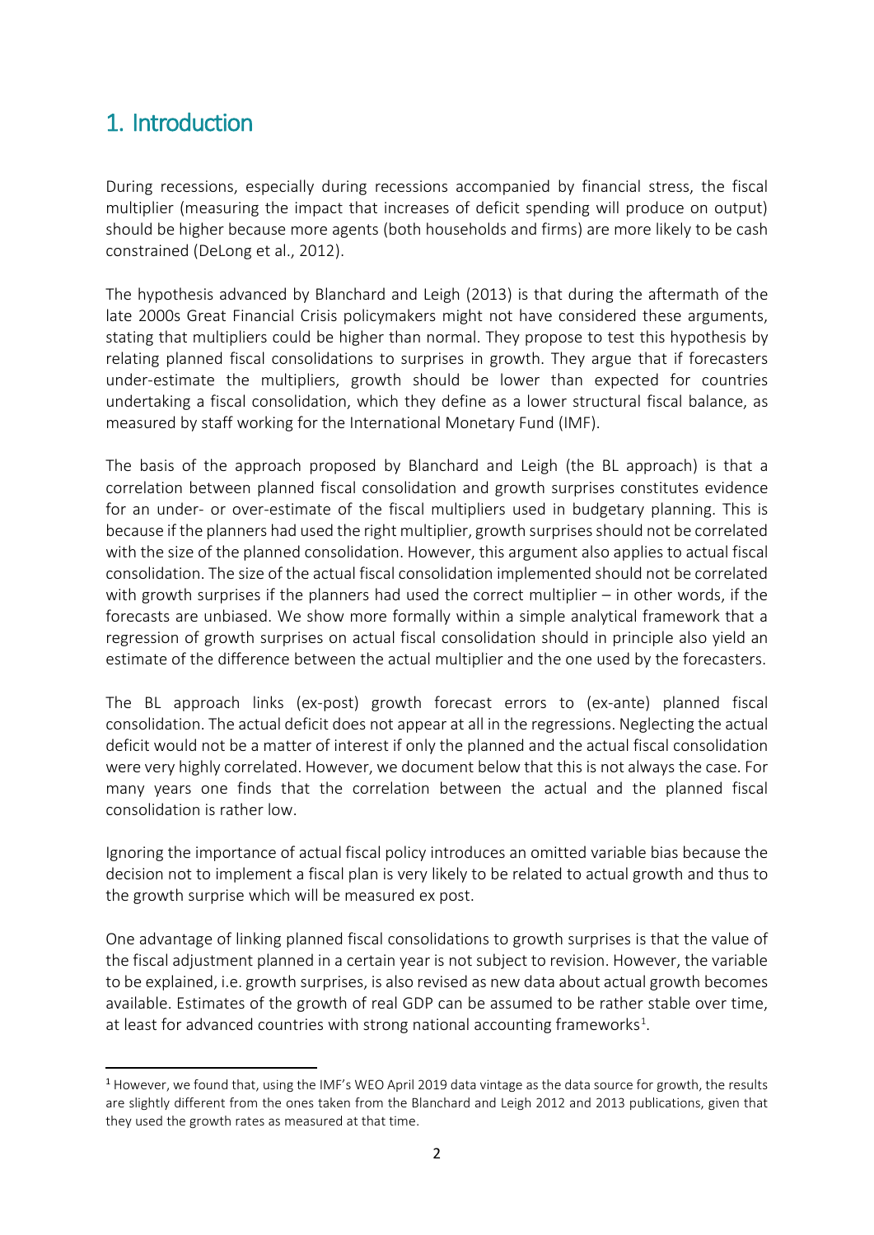## 1. Introduction

During recessions, especially during recessions accompanied by financial stress, the fiscal multiplier (measuring the impact that increases of deficit spending will produce on output) should be higher because more agents (both households and firms) are more likely to be cash constrained (DeLong et al., 2012).

The hypothesis advanced by Blanchard and Leigh (2013) is that during the aftermath of the late 2000s Great Financial Crisis policymakers might not have considered these arguments, stating that multipliers could be higher than normal. They propose to test this hypothesis by relating planned fiscal consolidations to surprises in growth. They argue that if forecasters under-estimate the multipliers, growth should be lower than expected for countries undertaking a fiscal consolidation, which they define as a lower structural fiscal balance, as measured by staff working for the International Monetary Fund (IMF).

The basis of the approach proposed by Blanchard and Leigh (the BL approach) is that a correlation between planned fiscal consolidation and growth surprises constitutes evidence for an under- or over-estimate of the fiscal multipliers used in budgetary planning. This is because if the planners had used the right multiplier, growth surprises should not be correlated with the size of the planned consolidation. However, this argument also applies to actual fiscal consolidation. The size of the actual fiscal consolidation implemented should not be correlated with growth surprises if the planners had used the correct multiplier – in other words, if the forecasts are unbiased. We show more formally within a simple analytical framework that a regression of growth surprises on actual fiscal consolidation should in principle also yield an estimate of the difference between the actual multiplier and the one used by the forecasters.

The BL approach links (ex-post) growth forecast errors to (ex-ante) planned fiscal consolidation. The actual deficit does not appear at all in the regressions. Neglecting the actual deficit would not be a matter of interest if only the planned and the actual fiscal consolidation were very highly correlated. However, we document below that this is not always the case. For many years one finds that the correlation between the actual and the planned fiscal consolidation is rather low.

Ignoring the importance of actual fiscal policy introduces an omitted variable bias because the decision not to implement a fiscal plan is very likely to be related to actual growth and thus to the growth surprise which will be measured ex post.

One advantage of linking planned fiscal consolidations to growth surprises is that the value of the fiscal adjustment planned in a certain year is not subject to revision. However, the variable to be explained, i.e. growth surprises, is also revised as new data about actual growth becomes available. Estimates of the growth of real GDP can be assumed to be rather stable over time, at least for advanced countries with strong national accounting frameworks<sup>[1](#page-3-0)</sup>.

<span id="page-3-0"></span> $1$  However, we found that, using the IMF's WEO April 2019 data vintage as the data source for growth, the results are slightly different from the ones taken from the Blanchard and Leigh 2012 and 2013 publications, given that they used the growth rates as measured at that time.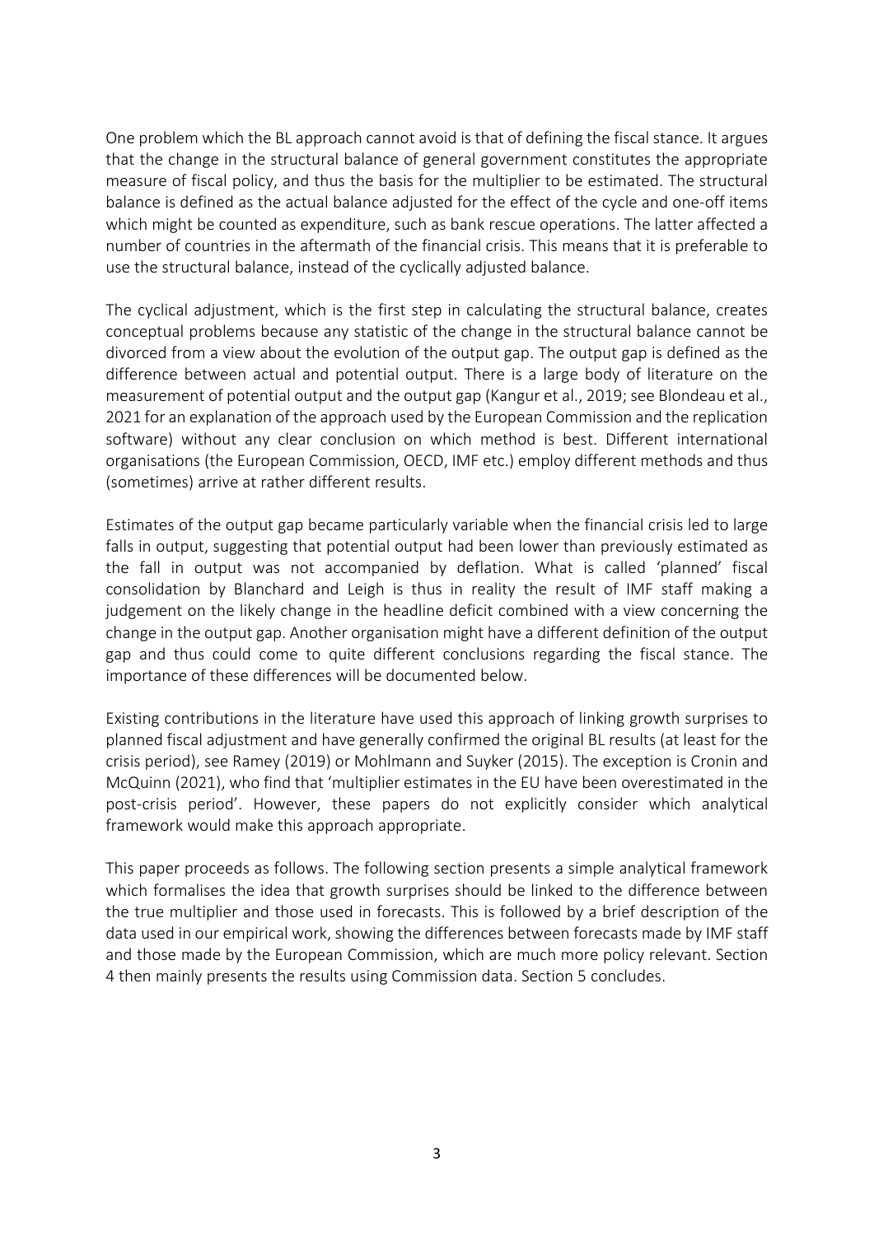One problem which the BL approach cannot avoid is that of defining the fiscal stance. It argues that the change in the structural balance of general government constitutes the appropriate measure of fiscal policy, and thus the basis for the multiplier to be estimated. The structural balance is defined as the actual balance adjusted for the effect of the cycle and one-off items which might be counted as expenditure, such as bank rescue operations. The latter affected a number of countries in the aftermath of the financial crisis. This means that it is preferable to use the structural balance, instead of the cyclically adjusted balance.

The cyclical adjustment, which is the first step in calculating the structural balance, creates conceptual problems because any statistic of the change in the structural balance cannot be divorced from a view about the evolution of the output gap. The output gap is defined as the difference between actual and potential output. There is a large body of literature on the measurement of potential output and the output gap (Kangur et al., 2019; see Blondeau et al., 2021 for an explanation of the approach used by the European Commission and the replication software) without any clear conclusion on which method is best. Different international organisations (the European Commission, OECD, IMF etc.) employ different methods and thus (sometimes) arrive at rather different results.

Estimates of the output gap became particularly variable when the financial crisis led to large falls in output, suggesting that potential output had been lower than previously estimated as the fall in output was not accompanied by deflation. What is called 'planned' fiscal consolidation by Blanchard and Leigh is thus in reality the result of IMF staff making a judgement on the likely change in the headline deficit combined with a view concerning the change in the output gap. Another organisation might have a different definition of the output gap and thus could come to quite different conclusions regarding the fiscal stance. The importance of these differences will be documented below.

Existing contributions in the literature have used this approach of linking growth surprises to planned fiscal adjustment and have generally confirmed the original BL results (at least for the crisis period), see Ramey (2019) or Mohlmann and Suyker (2015). The exception is Cronin and McQuinn (2021), who find that 'multiplier estimates in the EU have been overestimated in the post-crisis period'. However, these papers do not explicitly consider which analytical framework would make this approach appropriate.

This paper proceeds as follows. The following section presents a simple analytical framework which formalises the idea that growth surprises should be linked to the difference between the true multiplier and those used in forecasts. This is followed by a brief description of the data used in our empirical work, showing the differences between forecasts made by IMF staff and those made by the European Commission, which are much more policy relevant. Section 4 then mainly presents the results using Commission data. Section 5 concludes.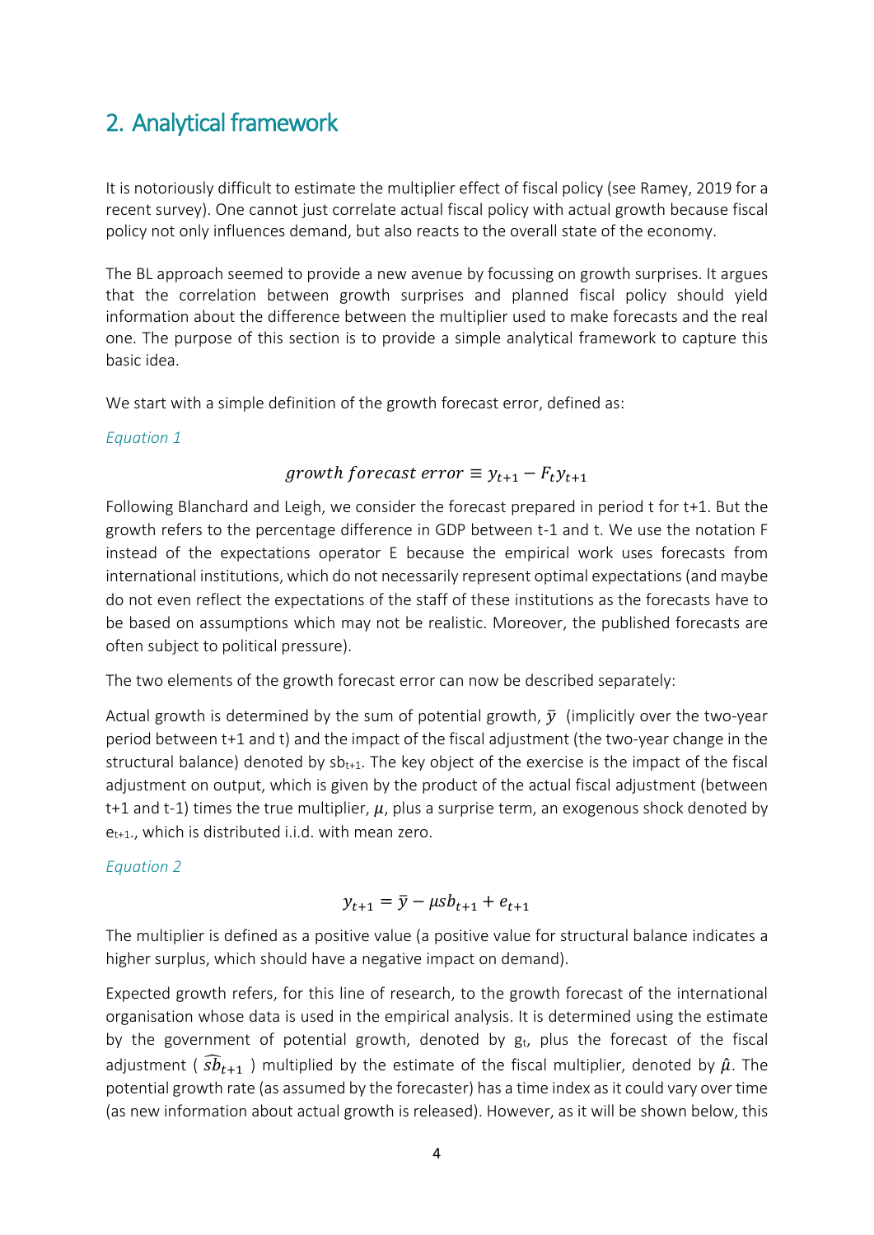## 2. Analytical framework

It is notoriously difficult to estimate the multiplier effect of fiscal policy (see Ramey, 2019 for a recent survey). One cannot just correlate actual fiscal policy with actual growth because fiscal policy not only influences demand, but also reacts to the overall state of the economy.

The BL approach seemed to provide a new avenue by focussing on growth surprises. It argues that the correlation between growth surprises and planned fiscal policy should yield information about the difference between the multiplier used to make forecasts and the real one. The purpose of this section is to provide a simple analytical framework to capture this basic idea.

We start with a simple definition of the growth forecast error, defined as:

#### *Equation 1*

### growth forecast error  $\equiv y_{t+1} - F_t y_{t+1}$

Following Blanchard and Leigh, we consider the forecast prepared in period t for t+1. But the growth refers to the percentage difference in GDP between t-1 and t. We use the notation F instead of the expectations operator E because the empirical work uses forecasts from international institutions, which do not necessarily represent optimal expectations (and maybe do not even reflect the expectations of the staff of these institutions as the forecasts have to be based on assumptions which may not be realistic. Moreover, the published forecasts are often subject to political pressure).

The two elements of the growth forecast error can now be described separately:

Actual growth is determined by the sum of potential growth,  $\bar{v}$  (implicitly over the two-year period between t+1 and t) and the impact of the fiscal adjustment (the two-year change in the structural balance) denoted by  $sb_{t+1}$ . The key object of the exercise is the impact of the fiscal adjustment on output, which is given by the product of the actual fiscal adjustment (between t+1 and t-1) times the true multiplier,  $\mu$ , plus a surprise term, an exogenous shock denoted by  $e_{t+1}$ ., which is distributed i.i.d. with mean zero.

### *Equation 2*

$$
y_{t+1} = \bar{y} - \mu s b_{t+1} + e_{t+1}
$$

The multiplier is defined as a positive value (a positive value for structural balance indicates a higher surplus, which should have a negative impact on demand).

Expected growth refers, for this line of research, to the growth forecast of the international organisation whose data is used in the empirical analysis. It is determined using the estimate by the government of potential growth, denoted by  $g_t$ , plus the forecast of the fiscal adjustment ( $\widehat{s}b_{t+1}$ ) multiplied by the estimate of the fiscal multiplier, denoted by  $\hat{\mu}$ . The potential growth rate (as assumed by the forecaster) has a time index as it could vary over time (as new information about actual growth is released). However, as it will be shown below, this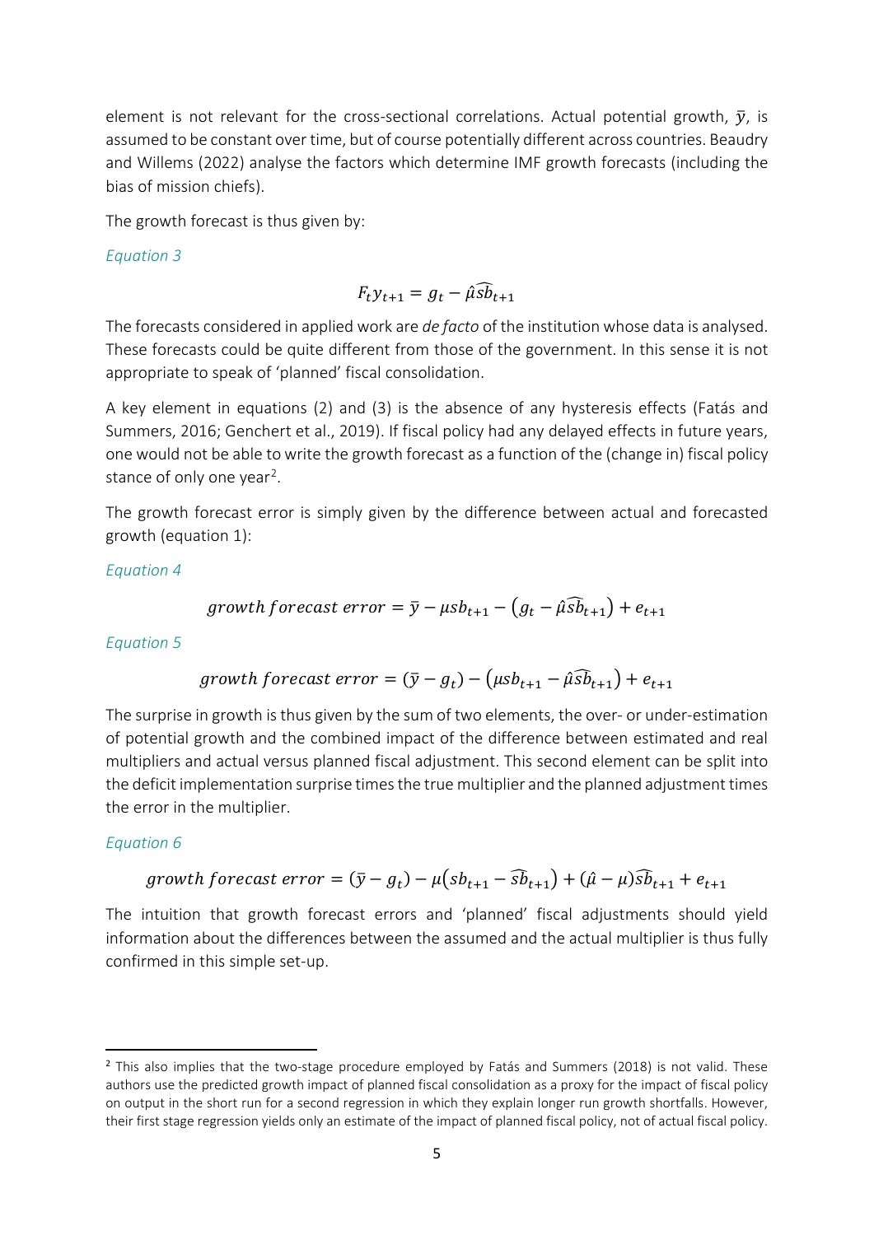element is not relevant for the cross-sectional correlations. Actual potential growth,  $\bar{v}$ , is assumed to be constant over time, but of course potentially different across countries. Beaudry and Willems (2022) analyse the factors which determine IMF growth forecasts (including the bias of mission chiefs).

The growth forecast is thus given by:

*Equation 3*

$$
F_t y_{t+1} = g_t - \hat{\mu} \widehat{sb}_{t+1}
$$

The forecasts considered in applied work are *de facto* of the institution whose data is analysed. These forecasts could be quite different from those of the government. In this sense it is not appropriate to speak of 'planned' fiscal consolidation.

A key element in equations (2) and (3) is the absence of any hysteresis effects (Fatás and Summers, 2016; Genchert et al., 2019). If fiscal policy had any delayed effects in future years, one would not be able to write the growth forecast as a function of the (change in) fiscal policy stance of only one year<sup>2</sup>.

The growth forecast error is simply given by the difference between actual and forecasted growth (equation 1):

*Equation 4*

$$
growth forecast error = \bar{y} - \mu s b_{t+1} - (g_t - \hat{\mu s} \bar{b}_{t+1}) + e_{t+1}
$$

*Equation 5*

$$
growth\ for\ exact\ error = (\bar{y} - g_t) - (\mu s b_{t+1} - \hat{\mu s} \bar{b}_{t+1}) + e_{t+1}
$$

The surprise in growth is thus given by the sum of two elements, the over- or under-estimation of potential growth and the combined impact of the difference between estimated and real multipliers and actual versus planned fiscal adjustment. This second element can be split into the deficit implementation surprise times the true multiplier and the planned adjustment times the error in the multiplier.

### *Equation 6*

$$
growth\, for \textit{ecast error} = (\bar{y} - g_t) - \mu \left(s b_{t+1} - \widehat{s b}_{t+1}\right) + (\hat{\mu} - \mu) \widehat{s b}_{t+1} + e_{t+1}
$$

The intuition that growth forecast errors and 'planned' fiscal adjustments should yield information about the differences between the assumed and the actual multiplier is thus fully confirmed in this simple set-up.

<span id="page-6-0"></span><sup>&</sup>lt;sup>2</sup> This also implies that the two-stage procedure employed by Fatás and Summers (2018) is not valid. These authors use the predicted growth impact of planned fiscal consolidation as a proxy for the impact of fiscal policy on output in the short run for a second regression in which they explain longer run growth shortfalls. However, their first stage regression yields only an estimate of the impact of planned fiscal policy, not of actual fiscal policy.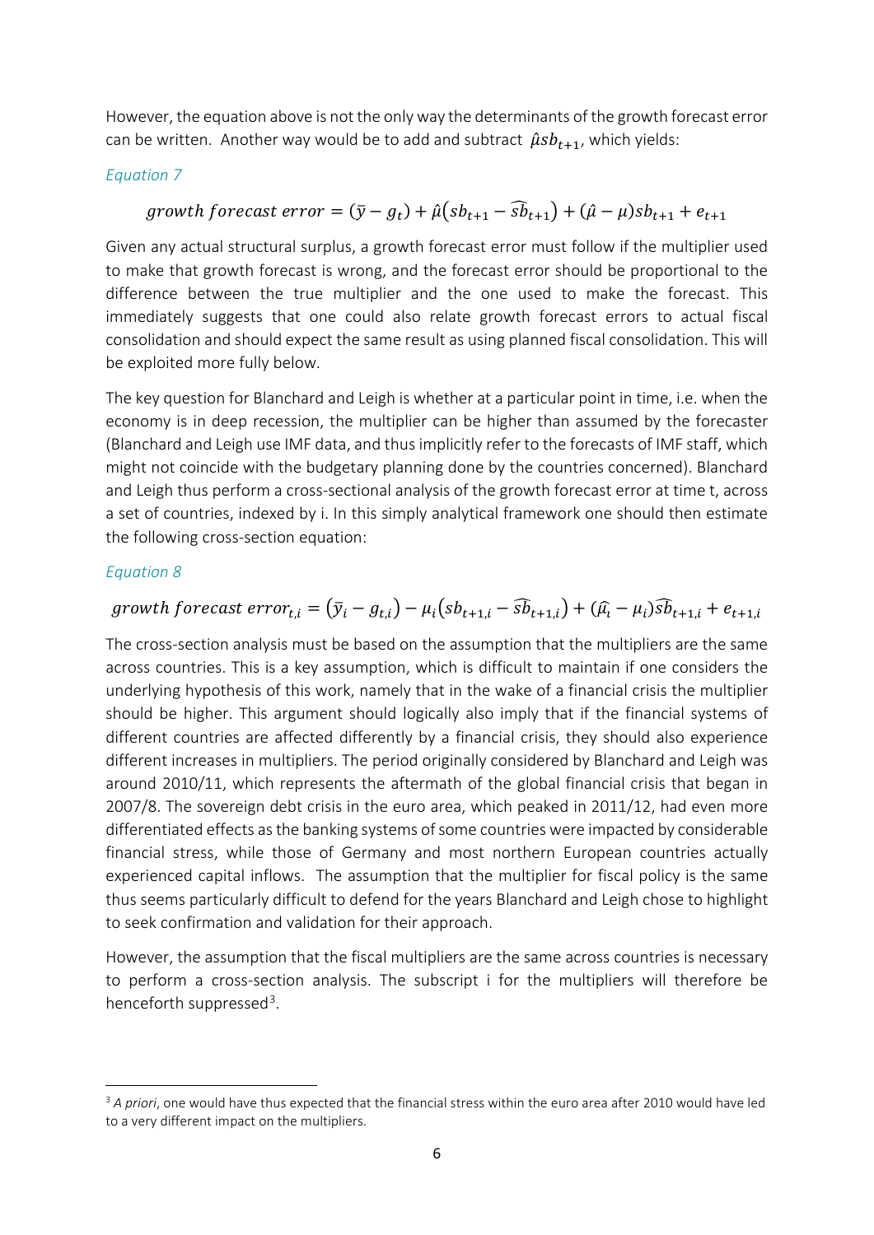However, the equation above is not the only way the determinants of the growth forecast error can be written. Another way would be to add and subtract  $\hat{\mu} s b_{t+1}$ , which yields:

### *Equation 7*

### growth forecast error =  $(\bar{y} - g_t) + \hat{\mu}(s b_{t+1} - \widehat{s} \bar{b}_{t+1}) + (\hat{\mu} - \mu)s b_{t+1} + e_{t+1}$

Given any actual structural surplus, a growth forecast error must follow if the multiplier used to make that growth forecast is wrong, and the forecast error should be proportional to the difference between the true multiplier and the one used to make the forecast. This immediately suggests that one could also relate growth forecast errors to actual fiscal consolidation and should expect the same result as using planned fiscal consolidation. This will be exploited more fully below.

The key question for Blanchard and Leigh is whether at a particular point in time, i.e. when the economy is in deep recession, the multiplier can be higher than assumed by the forecaster (Blanchard and Leigh use IMF data, and thus implicitly refer to the forecasts of IMF staff, which might not coincide with the budgetary planning done by the countries concerned). Blanchard and Leigh thus perform a cross-sectional analysis of the growth forecast error at time t, across a set of countries, indexed by i. In this simply analytical framework one should then estimate the following cross-section equation:

#### *Equation 8*

## growth forecast  $error_{t,i} = (\bar{y}_i - g_{t,i}) - \mu_i (sb_{t+1,i} - \widehat{sb}_{t+1,i}) + (\widehat{\mu}_i - \mu_i)\widehat{sb}_{t+1,i} + e_{t+1,i}$

The cross-section analysis must be based on the assumption that the multipliers are the same across countries. This is a key assumption, which is difficult to maintain if one considers the underlying hypothesis of this work, namely that in the wake of a financial crisis the multiplier should be higher. This argument should logically also imply that if the financial systems of different countries are affected differently by a financial crisis, they should also experience different increases in multipliers. The period originally considered by Blanchard and Leigh was around 2010/11, which represents the aftermath of the global financial crisis that began in 2007/8. The sovereign debt crisis in the euro area, which peaked in 2011/12, had even more differentiated effects as the banking systems of some countries were impacted by considerable financial stress, while those of Germany and most northern European countries actually experienced capital inflows. The assumption that the multiplier for fiscal policy is the same thus seems particularly difficult to defend for the years Blanchard and Leigh chose to highlight to seek confirmation and validation for their approach.

However, the assumption that the fiscal multipliers are the same across countries is necessary to perform a cross-section analysis. The subscript i for the multipliers will therefore be henceforth suppressed<sup>3</sup>.

<span id="page-7-0"></span>**<sup>.</sup>** <sup>3</sup> *A priori*, one would have thus expected that the financial stress within the euro area after 2010 would have led to a very different impact on the multipliers.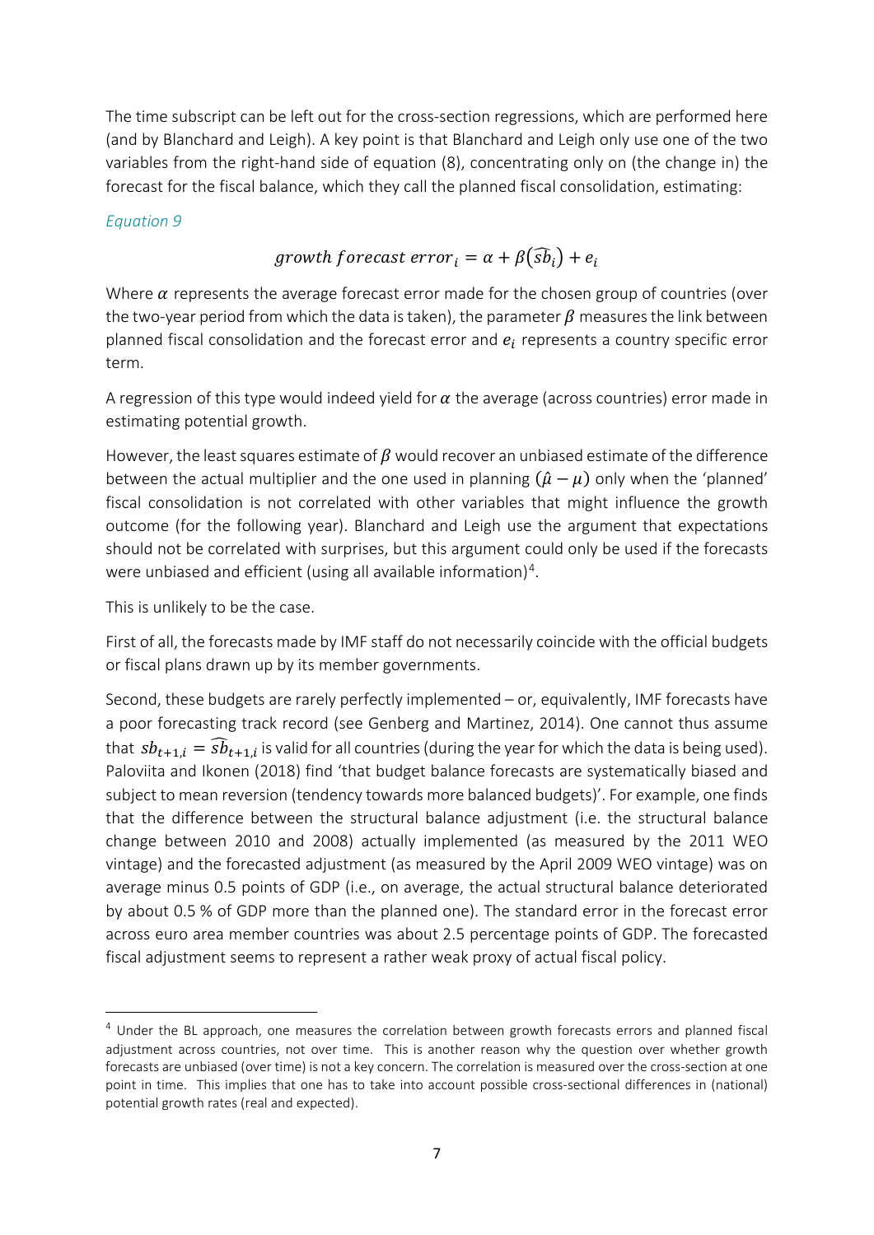The time subscript can be left out for the cross-section regressions, which are performed here (and by Blanchard and Leigh). A key point is that Blanchard and Leigh only use one of the two variables from the right-hand side of equation (8), concentrating only on (the change in) the forecast for the fiscal balance, which they call the planned fiscal consolidation, estimating:

#### *Equation 9*

## growth forecast  $error_i = \alpha + \beta(\widehat{sb}_i) + e_i$

Where  $\alpha$  represents the average forecast error made for the chosen group of countries (over the two-year period from which the data is taken), the parameter  $\beta$  measures the link between planned fiscal consolidation and the forecast error and  $e_i$  represents a country specific error term.

A regression of this type would indeed yield for  $\alpha$  the average (across countries) error made in estimating potential growth.

However, the least squares estimate of  $\beta$  would recover an unbiased estimate of the difference between the actual multiplier and the one used in planning  $(\hat{\mu} - \mu)$  only when the 'planned' fiscal consolidation is not correlated with other variables that might influence the growth outcome (for the following year). Blanchard and Leigh use the argument that expectations should not be correlated with surprises, but this argument could only be used if the forecasts were unbiased and efficient (using all available information)<sup>[4](#page-8-0)</sup>.

This is unlikely to be the case.

 $\overline{a}$ 

First of all, the forecasts made by IMF staff do not necessarily coincide with the official budgets or fiscal plans drawn up by its member governments.

Second, these budgets are rarely perfectly implemented – or, equivalently, IMF forecasts have a poor forecasting track record (see Genberg and Martinez, 2014). One cannot thus assume that  $sb_{t+1,i} = s\hat{b}_{t+1,i}$  is valid for all countries (during the year for which the data is being used). Paloviita and Ikonen (2018) find 'that budget balance forecasts are systematically biased and subject to mean reversion (tendency towards more balanced budgets)'. For example, one finds that the difference between the structural balance adjustment (i.e. the structural balance change between 2010 and 2008) actually implemented (as measured by the 2011 WEO vintage) and the forecasted adjustment (as measured by the April 2009 WEO vintage) was on average minus 0.5 points of GDP (i.e., on average, the actual structural balance deteriorated by about 0.5 % of GDP more than the planned one). The standard error in the forecast error across euro area member countries was about 2.5 percentage points of GDP. The forecasted fiscal adjustment seems to represent a rather weak proxy of actual fiscal policy.

<span id="page-8-0"></span><sup>4</sup> Under the BL approach, one measures the correlation between growth forecasts errors and planned fiscal adjustment across countries, not over time. This is another reason why the question over whether growth forecasts are unbiased (over time) is not a key concern. The correlation is measured over the cross-section at one point in time. This implies that one has to take into account possible cross-sectional differences in (national) potential growth rates (real and expected).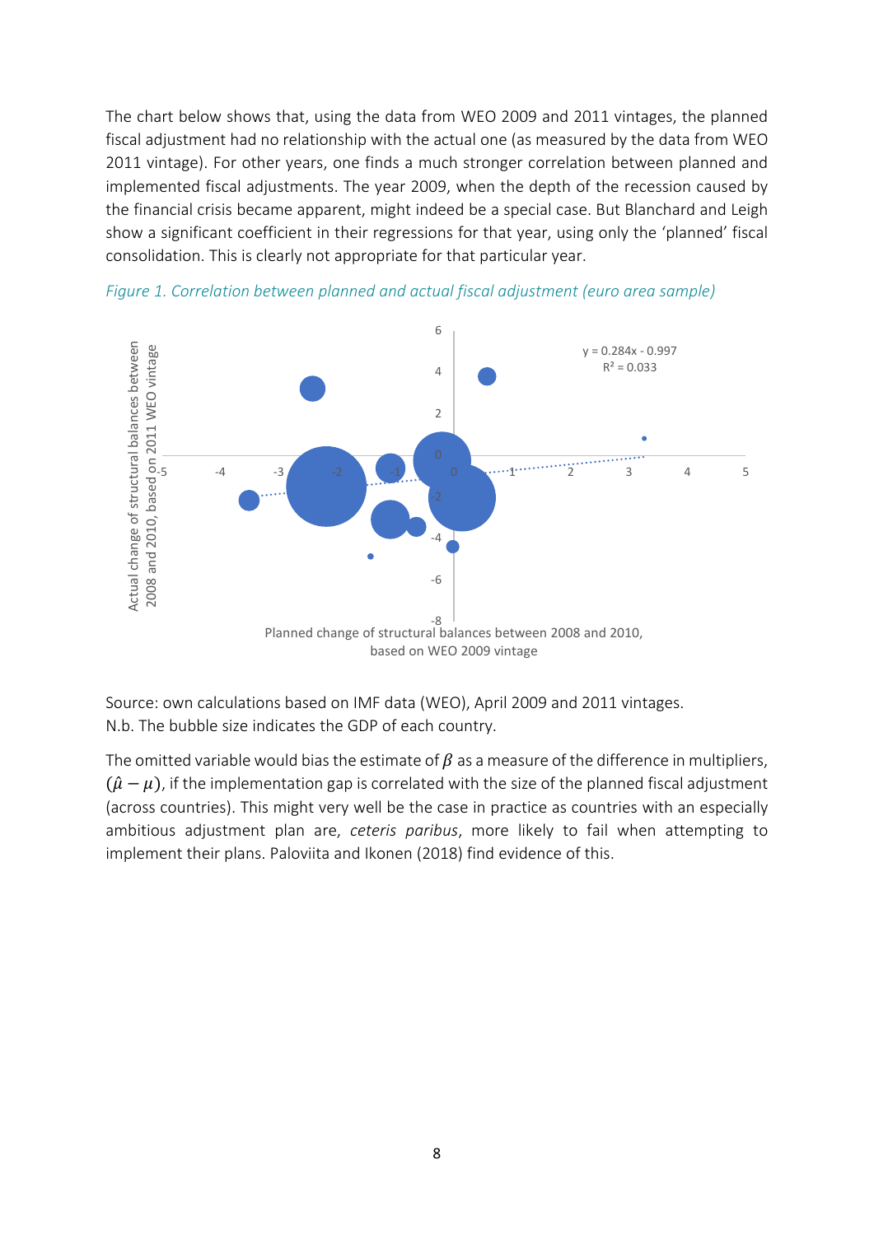The chart below shows that, using the data from WEO 2009 and 2011 vintages, the planned fiscal adjustment had no relationship with the actual one (as measured by the data from WEO 2011 vintage). For other years, one finds a much stronger correlation between planned and implemented fiscal adjustments. The year 2009, when the depth of the recession caused by the financial crisis became apparent, might indeed be a special case. But Blanchard and Leigh show a significant coefficient in their regressions for that year, using only the 'planned' fiscal consolidation. This is clearly not appropriate for that particular year.



*Figure 1. Correlation between planned and actual fiscal adjustment (euro area sample)*

Source: own calculations based on IMF data (WEO), April 2009 and 2011 vintages. N.b. The bubble size indicates the GDP of each country.

The omitted variable would bias the estimate of  $\beta$  as a measure of the difference in multipliers,  $(\hat{\mu}-\mu)$ , if the implementation gap is correlated with the size of the planned fiscal adjustment (across countries). This might very well be the case in practice as countries with an especially ambitious adjustment plan are, *ceteris paribus*, more likely to fail when attempting to implement their plans. Paloviita and Ikonen (2018) find evidence of this.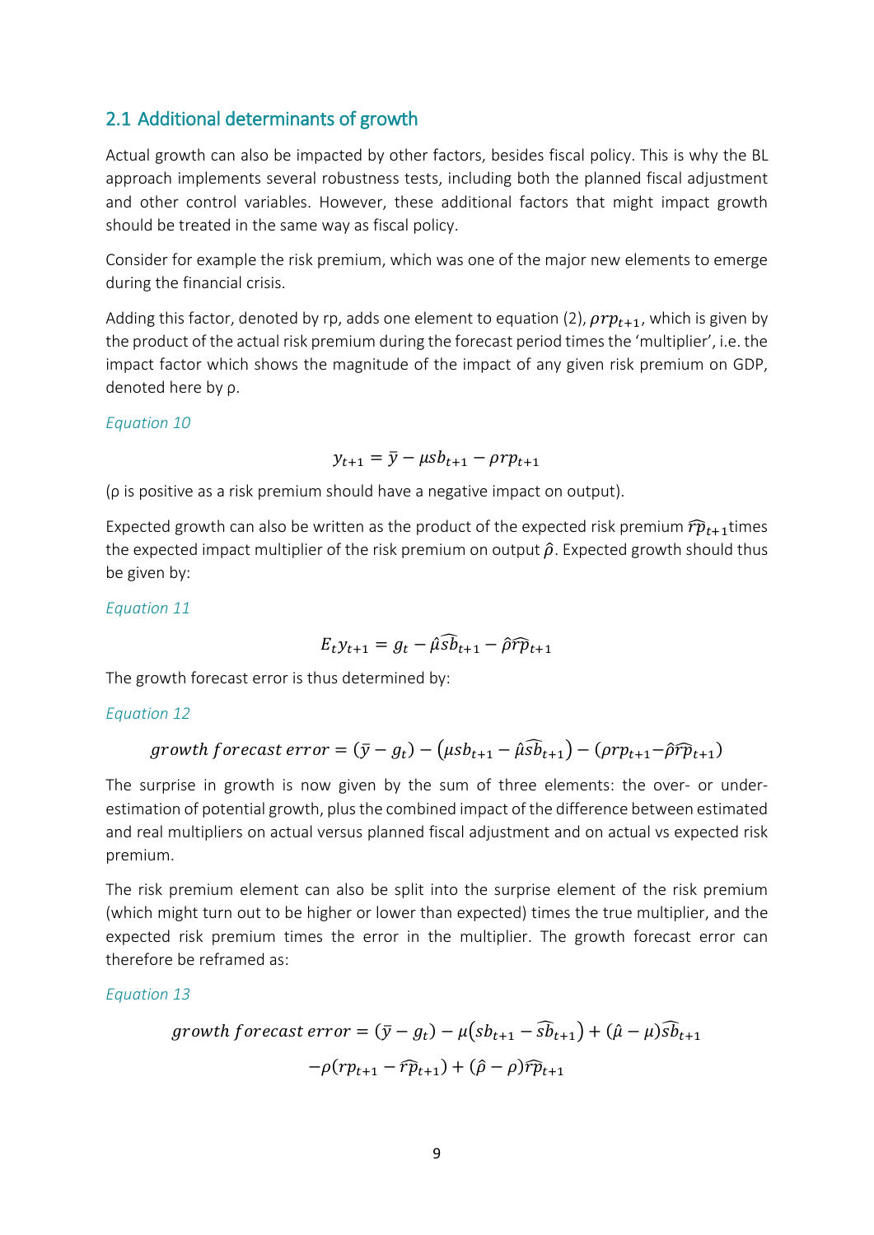### 2.1 Additional determinants of growth

Actual growth can also be impacted by other factors, besides fiscal policy. This is why the BL approach implements several robustness tests, including both the planned fiscal adjustment and other control variables. However, these additional factors that might impact growth should be treated in the same way as fiscal policy.

Consider for example the risk premium, which was one of the major new elements to emerge during the financial crisis.

Adding this factor, denoted by rp, adds one element to equation (2),  $\rho r p_{t+1}$ , which is given by the product of the actual risk premium during the forecast period times the 'multiplier', i.e. the impact factor which shows the magnitude of the impact of any given risk premium on GDP, denoted here by ρ.

#### *Equation 10*

$$
y_{t+1} = \overline{y} - \mu s b_{t+1} - \rho r p_{t+1}
$$

(ρ is positive as a risk premium should have a negative impact on output).

Expected growth can also be written as the product of the expected risk premium  $\hat{rp}_{t+1}$ times the expected impact multiplier of the risk premium on output  $\hat{\rho}$ . Expected growth should thus be given by:

*Equation 11*

$$
E_t y_{t+1} = g_t - \hat{\mu} \widehat{sb}_{t+1} - \hat{\rho} \widehat{rp}_{t+1}
$$

The growth forecast error is thus determined by:

#### *Equation 12*

$$
growth forecast error = (\bar{y} - g_t) - (\mu s b_{t+1} - \hat{\mu} \hat{s} b_{t+1}) - (\rho r p_{t+1} - \hat{\rho} \hat{r} \hat{p}_{t+1})
$$

The surprise in growth is now given by the sum of three elements: the over- or underestimation of potential growth, plus the combined impact of the difference between estimated and real multipliers on actual versus planned fiscal adjustment and on actual vs expected risk premium.

The risk premium element can also be split into the surprise element of the risk premium (which might turn out to be higher or lower than expected) times the true multiplier, and the expected risk premium times the error in the multiplier. The growth forecast error can therefore be reframed as:

*Equation 13*

$$
growth forecast error = (\bar{y} - g_t) - \mu (s b_{t+1} - \widehat{s} \bar{b}_{t+1}) + (\hat{\mu} - \mu) \widehat{s} \bar{b}_{t+1}
$$

$$
-\rho (r p_{t+1} - \widehat{r} \bar{p}_{t+1}) + (\hat{\rho} - \rho) \widehat{r} \bar{p}_{t+1}
$$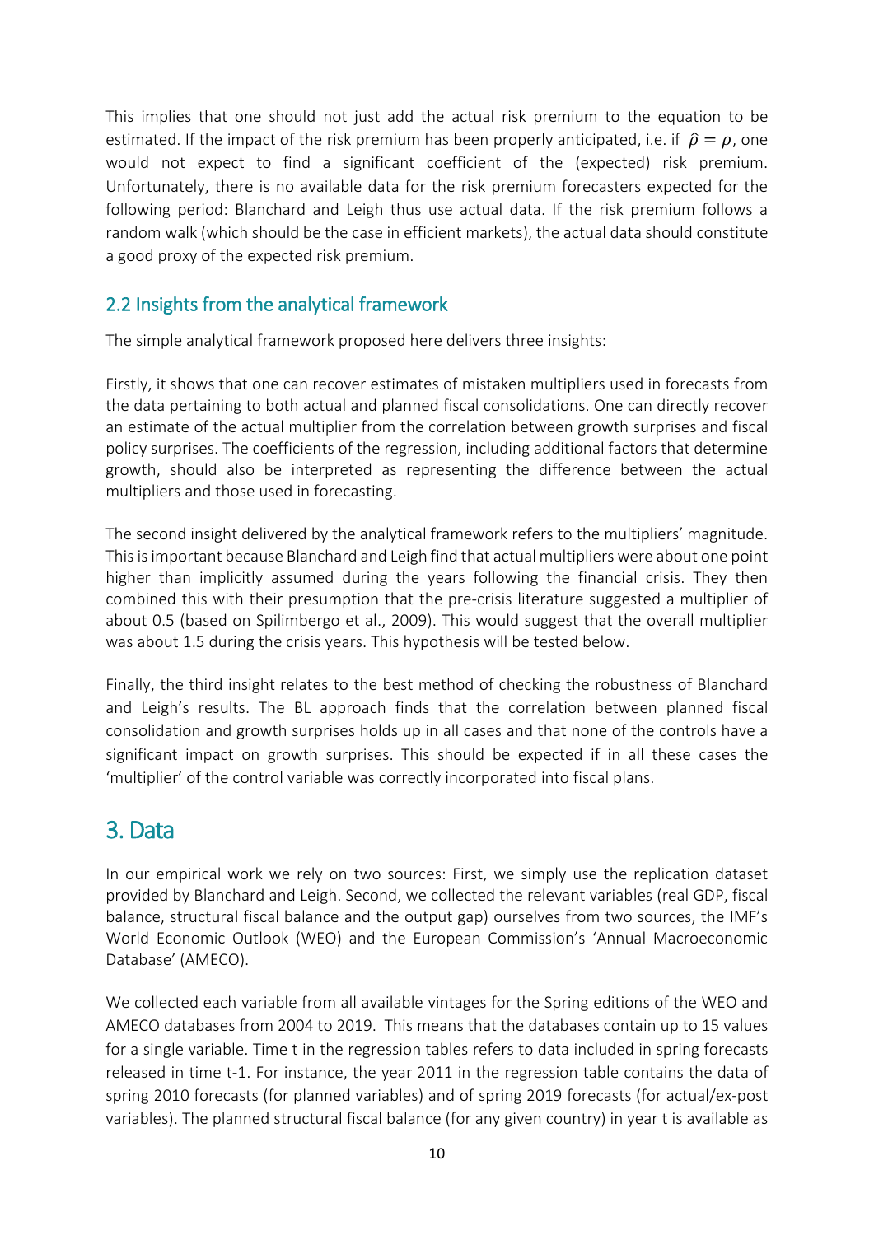This implies that one should not just add the actual risk premium to the equation to be estimated. If the impact of the risk premium has been properly anticipated, i.e. if  $\hat{\rho} = \rho$ , one would not expect to find a significant coefficient of the (expected) risk premium. Unfortunately, there is no available data for the risk premium forecasters expected for the following period: Blanchard and Leigh thus use actual data. If the risk premium follows a random walk (which should be the case in efficient markets), the actual data should constitute a good proxy of the expected risk premium.

### 2.2 Insights from the analytical framework

The simple analytical framework proposed here delivers three insights:

Firstly, it shows that one can recover estimates of mistaken multipliers used in forecasts from the data pertaining to both actual and planned fiscal consolidations. One can directly recover an estimate of the actual multiplier from the correlation between growth surprises and fiscal policy surprises. The coefficients of the regression, including additional factors that determine growth, should also be interpreted as representing the difference between the actual multipliers and those used in forecasting.

The second insight delivered by the analytical framework refers to the multipliers' magnitude. Thisis important because Blanchard and Leigh find that actual multipliers were about one point higher than implicitly assumed during the years following the financial crisis. They then combined this with their presumption that the pre-crisis literature suggested a multiplier of about 0.5 (based on Spilimbergo et al., 2009). This would suggest that the overall multiplier was about 1.5 during the crisis years. This hypothesis will be tested below.

Finally, the third insight relates to the best method of checking the robustness of Blanchard and Leigh's results. The BL approach finds that the correlation between planned fiscal consolidation and growth surprises holds up in all cases and that none of the controls have a significant impact on growth surprises. This should be expected if in all these cases the 'multiplier' of the control variable was correctly incorporated into fiscal plans.

## 3. Data

In our empirical work we rely on two sources: First, we simply use the replication dataset provided by Blanchard and Leigh. Second, we collected the relevant variables (real GDP, fiscal balance, structural fiscal balance and the output gap) ourselves from two sources, the IMF's World Economic Outlook (WEO) and the European Commission's 'Annual Macroeconomic Database' (AMECO).

We collected each variable from all available vintages for the Spring editions of the WEO and AMECO databases from 2004 to 2019. This means that the databases contain up to 15 values for a single variable. Time t in the regression tables refers to data included in spring forecasts released in time t-1. For instance, the year 2011 in the regression table contains the data of spring 2010 forecasts (for planned variables) and of spring 2019 forecasts (for actual/ex-post variables). The planned structural fiscal balance (for any given country) in year t is available as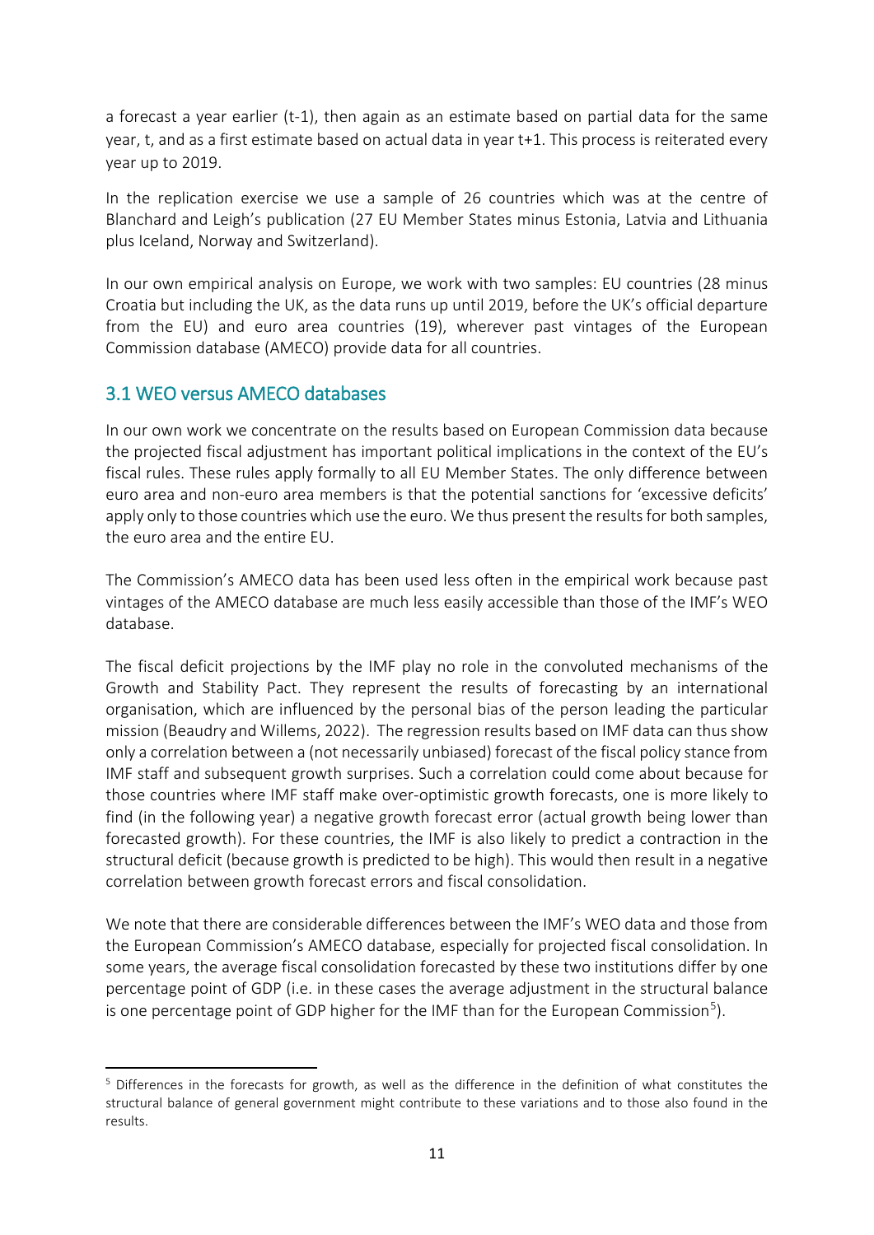a forecast a year earlier (t-1), then again as an estimate based on partial data for the same year, t, and as a first estimate based on actual data in year t+1. This process is reiterated every year up to 2019.

In the replication exercise we use a sample of 26 countries which was at the centre of Blanchard and Leigh's publication (27 EU Member States minus Estonia, Latvia and Lithuania plus Iceland, Norway and Switzerland).

In our own empirical analysis on Europe, we work with two samples: EU countries (28 minus Croatia but including the UK, as the data runs up until 2019, before the UK's official departure from the EU) and euro area countries (19), wherever past vintages of the European Commission database (AMECO) provide data for all countries.

### 3.1 WEO versus AMECO databases

 $\overline{a}$ 

In our own work we concentrate on the results based on European Commission data because the projected fiscal adjustment has important political implications in the context of the EU's fiscal rules. These rules apply formally to all EU Member States. The only difference between euro area and non-euro area members is that the potential sanctions for 'excessive deficits' apply only to those countries which use the euro. We thus present the results for both samples, the euro area and the entire EU.

The Commission's AMECO data has been used less often in the empirical work because past vintages of the AMECO database are much less easily accessible than those of the IMF's WEO database.

The fiscal deficit projections by the IMF play no role in the convoluted mechanisms of the Growth and Stability Pact. They represent the results of forecasting by an international organisation, which are influenced by the personal bias of the person leading the particular mission (Beaudry and Willems, 2022). The regression results based on IMF data can thus show only a correlation between a (not necessarily unbiased) forecast of the fiscal policy stance from IMF staff and subsequent growth surprises. Such a correlation could come about because for those countries where IMF staff make over-optimistic growth forecasts, one is more likely to find (in the following year) a negative growth forecast error (actual growth being lower than forecasted growth). For these countries, the IMF is also likely to predict a contraction in the structural deficit (because growth is predicted to be high). This would then result in a negative correlation between growth forecast errors and fiscal consolidation.

We note that there are considerable differences between the IMF's WEO data and those from the European Commission's AMECO database, especially for projected fiscal consolidation. In some years, the average fiscal consolidation forecasted by these two institutions differ by one percentage point of GDP (i.e. in these cases the average adjustment in the structural balance is one percentage point of GDP higher for the IMF than for the European Commission<sup>[5](#page-12-0)</sup>).

<span id="page-12-0"></span><sup>5</sup> Differences in the forecasts for growth, as well as the difference in the definition of what constitutes the structural balance of general government might contribute to these variations and to those also found in the results.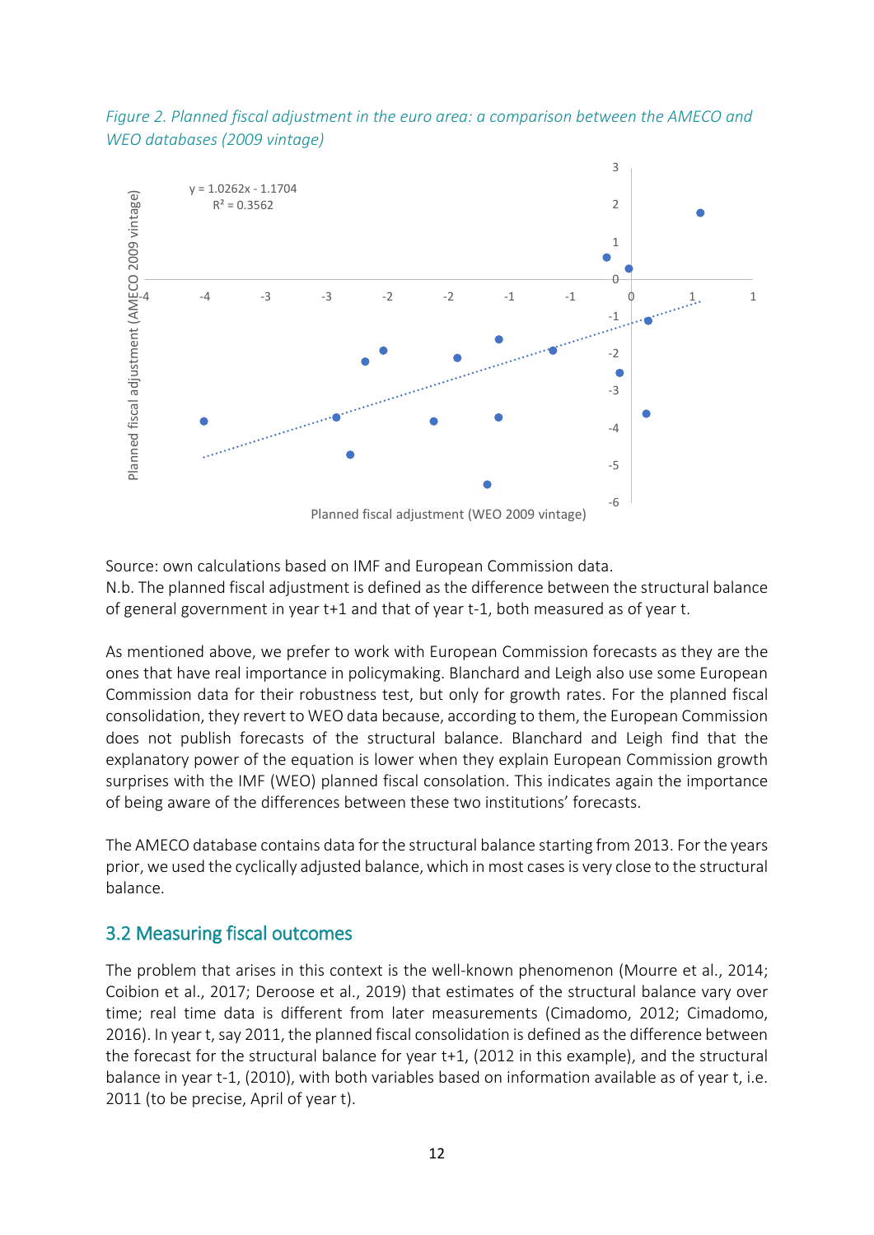



Source: own calculations based on IMF and European Commission data. N.b. The planned fiscal adjustment is defined as the difference between the structural balance of general government in year t+1 and that of year t-1, both measured as of year t.

As mentioned above, we prefer to work with European Commission forecasts as they are the ones that have real importance in policymaking. Blanchard and Leigh also use some European Commission data for their robustness test, but only for growth rates. For the planned fiscal consolidation, they revert to WEO data because, according to them, the European Commission does not publish forecasts of the structural balance. Blanchard and Leigh find that the explanatory power of the equation is lower when they explain European Commission growth surprises with the IMF (WEO) planned fiscal consolation. This indicates again the importance of being aware of the differences between these two institutions' forecasts.

The AMECO database contains data for the structural balance starting from 2013. For the years prior, we used the cyclically adjusted balance, which in most cases is very close to the structural balance.

### 3.2 Measuring fiscal outcomes

The problem that arises in this context is the well-known phenomenon (Mourre et al., 2014; Coibion et al., 2017; Deroose et al., 2019) that estimates of the structural balance vary over time; real time data is different from later measurements (Cimadomo, 2012; Cimadomo, 2016). In year t, say 2011, the planned fiscal consolidation is defined as the difference between the forecast for the structural balance for year t+1, (2012 in this example), and the structural balance in year t-1, (2010), with both variables based on information available as of year t, i.e. 2011 (to be precise, April of year t).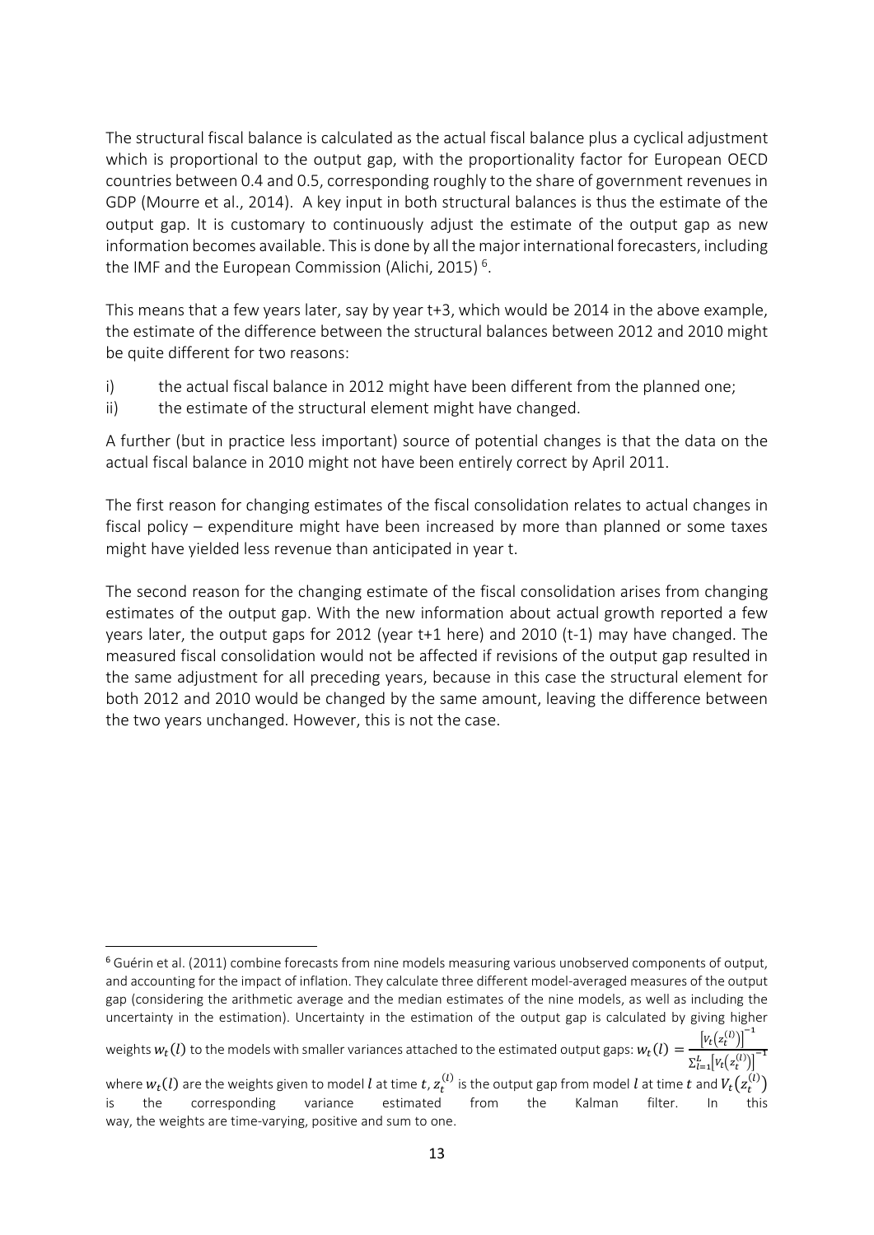The structural fiscal balance is calculated as the actual fiscal balance plus a cyclical adjustment which is proportional to the output gap, with the proportionality factor for European OECD countries between 0.4 and 0.5, corresponding roughly to the share of government revenues in GDP (Mourre et al., 2014). A key input in both structural balances is thus the estimate of the output gap. It is customary to continuously adjust the estimate of the output gap as new information becomes available. This is done by all the major international forecasters, including the IMF and the European Commission (Alichi, 2015)<sup>[6](#page-14-0)</sup>.

This means that a few years later, say by year t+3, which would be 2014 in the above example, the estimate of the difference between the structural balances between 2012 and 2010 might be quite different for two reasons:

- i) the actual fiscal balance in 2012 might have been different from the planned one;
- ii) the estimate of the structural element might have changed.

A further (but in practice less important) source of potential changes is that the data on the actual fiscal balance in 2010 might not have been entirely correct by April 2011.

The first reason for changing estimates of the fiscal consolidation relates to actual changes in fiscal policy – expenditure might have been increased by more than planned or some taxes might have yielded less revenue than anticipated in year t.

The second reason for the changing estimate of the fiscal consolidation arises from changing estimates of the output gap. With the new information about actual growth reported a few years later, the output gaps for 2012 (year t+1 here) and 2010 (t-1) may have changed. The measured fiscal consolidation would not be affected if revisions of the output gap resulted in the same adjustment for all preceding years, because in this case the structural element for both 2012 and 2010 would be changed by the same amount, leaving the difference between the two years unchanged. However, this is not the case.

<span id="page-14-0"></span> <sup>6</sup> Guérin et al. (2011) combine forecasts from nine models measuring various unobserved components of output, and accounting for the impact of inflation. They calculate three different model-averaged measures of the output gap (considering the arithmetic average and the median estimates of the nine models, as well as including the uncertainty in the estimation). Uncertainty in the estimation of the output gap is calculated by giving higher

weights  $w_t(l)$  to the models with smaller variances attached to the estimated output gaps:  $w_t(l)$  =  $\left( l\right)$  $\mathcal{Y}$ −1  $\Sigma_{l=1}^L[v_t(z_t^{(l)})]$ −1

where  $w_t(l)$  are the weights given to model  $l$  at time  $t$ ,  $z_t^{(l)}$  is the output gap from model  $l$  at time  $t$  and  $V_t\big(z_t^{(l)}\big)$ is the corresponding variance estimated from the Kalman filter. In this way, the weights are time-varying, positive and sum to one.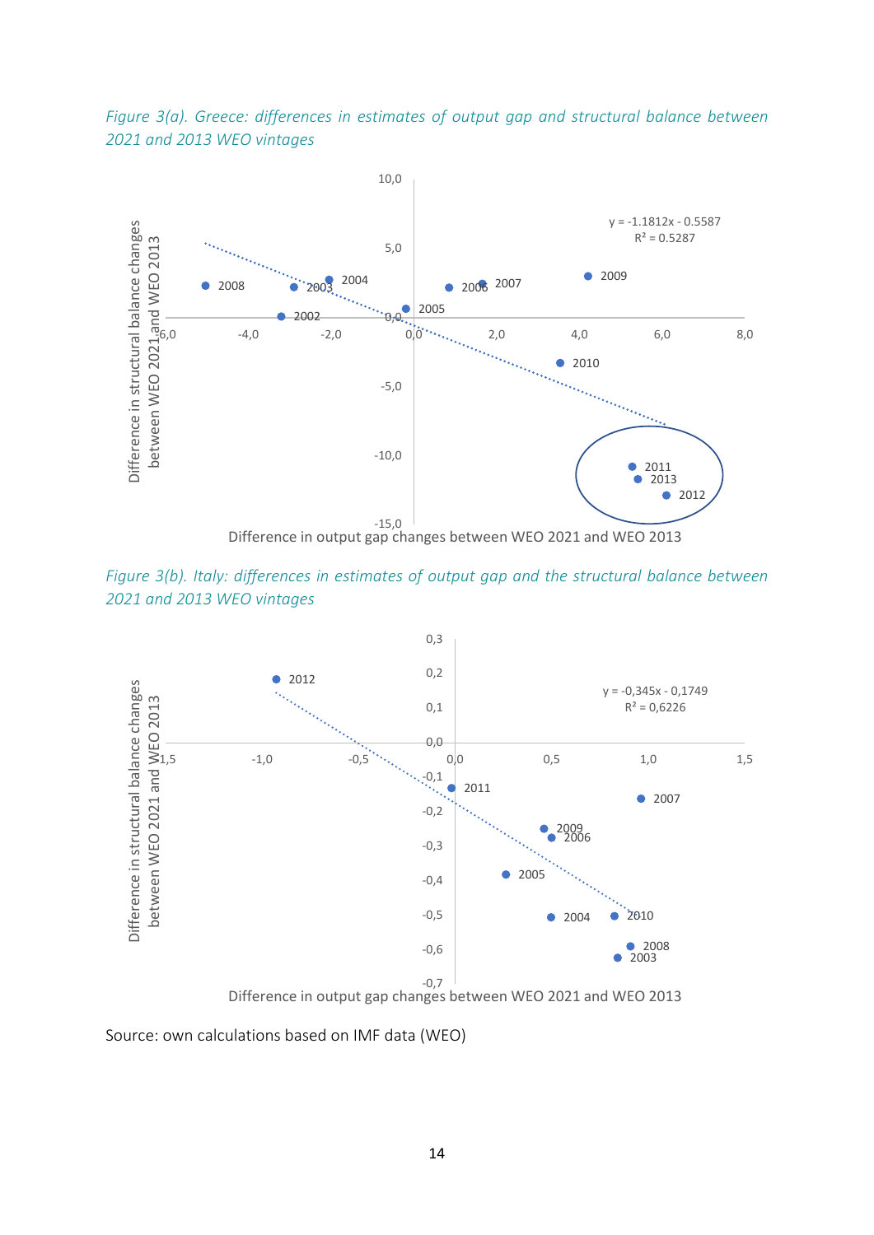*Figure 3(a). Greece: differences in estimates of output gap and structural balance between 2021 and 2013 WEO vintages*



*Figure 3(b). Italy: differences in estimates of output gap and the structural balance between 2021 and 2013 WEO vintages*



Source: own calculations based on IMF data (WEO)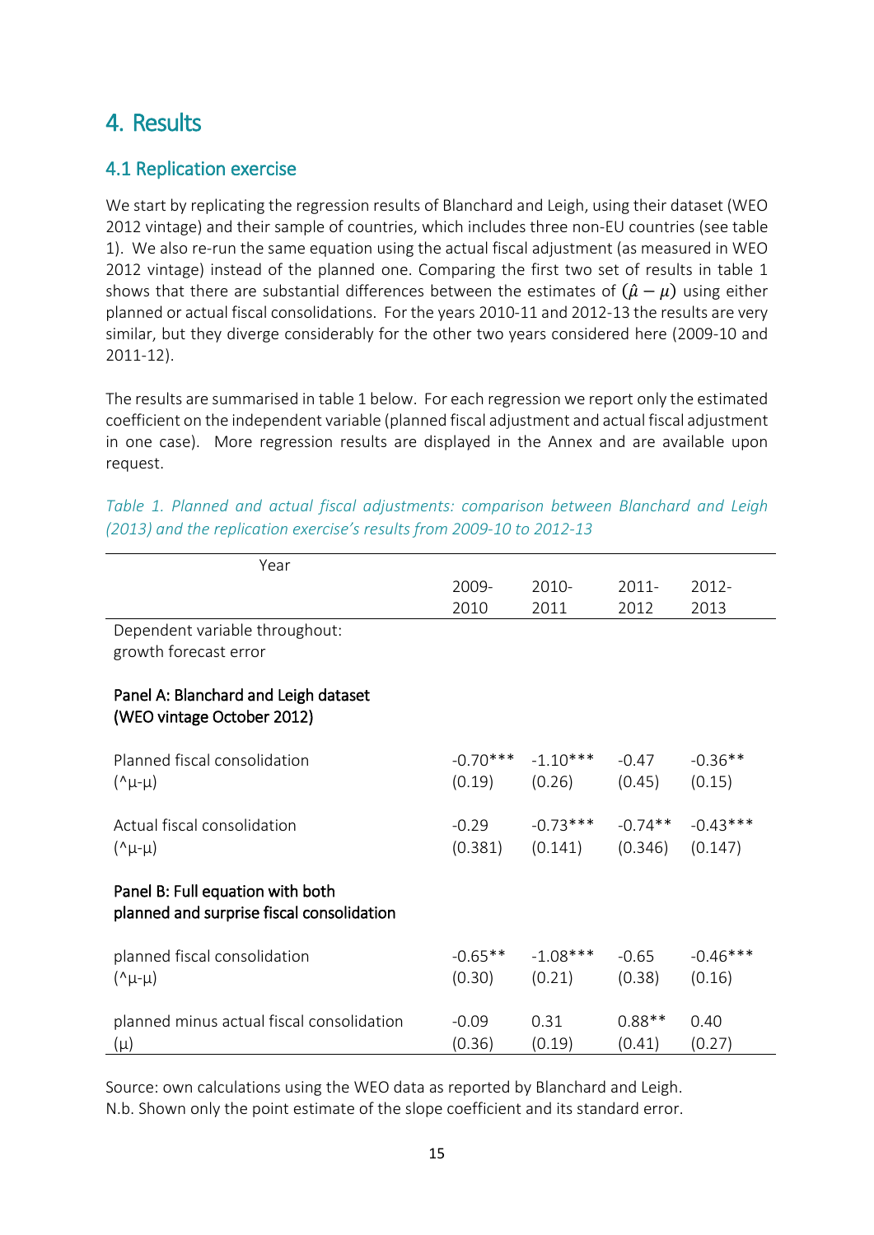## 4. Results

### 4.1 Replication exercise

We start by replicating the regression results of Blanchard and Leigh, using their dataset (WEO 2012 vintage) and their sample of countries, which includes three non-EU countries (see table 1). We also re-run the same equation using the actual fiscal adjustment (as measured in WEO 2012 vintage) instead of the planned one. Comparing the first two set of results in table 1 shows that there are substantial differences between the estimates of  $(\hat{\mu} - \mu)$  using either planned or actual fiscal consolidations. For the years 2010-11 and 2012-13 the results are very similar, but they diverge considerably for the other two years considered here (2009-10 and 2011-12).

The results are summarised in table 1 below. For each regression we report only the estimated coefficient on the independent variable (planned fiscal adjustment and actual fiscal adjustment in one case). More regression results are displayed in the Annex and are available upon request.

| Year                                                                          |            |            |           |            |
|-------------------------------------------------------------------------------|------------|------------|-----------|------------|
|                                                                               | 2009-      | 2010-      | $2011 -$  | 2012-      |
|                                                                               | 2010       | 2011       | 2012      | 2013       |
| Dependent variable throughout:                                                |            |            |           |            |
| growth forecast error                                                         |            |            |           |            |
| Panel A: Blanchard and Leigh dataset<br>(WEO vintage October 2012)            |            |            |           |            |
| Planned fiscal consolidation                                                  | $-0.70***$ | $-1.10***$ | $-0.47$   | $-0.36**$  |
| $(\lambda \mu - \mu)$                                                         | (0.19)     | (0.26)     | (0.45)    | (0.15)     |
|                                                                               |            |            |           |            |
| Actual fiscal consolidation                                                   | $-0.29$    | $-0.73***$ | $-0.74**$ | $-0.43***$ |
| $(\lambda \mu - \mu)$                                                         | (0.381)    | (0.141)    | (0.346)   | (0.147)    |
|                                                                               |            |            |           |            |
| Panel B: Full equation with both<br>planned and surprise fiscal consolidation |            |            |           |            |
| planned fiscal consolidation                                                  | $-0.65**$  | $-1.08***$ | $-0.65$   | $-0.46***$ |
| $(\lambda \mu - \mu)$                                                         | (0.30)     | (0.21)     | (0.38)    | (0.16)     |
|                                                                               |            |            |           |            |
| planned minus actual fiscal consolidation                                     | $-0.09$    | 0.31       | $0.88**$  | 0.40       |
| $(\mu)$                                                                       | (0.36)     | (0.19)     | (0.41)    | (0.27)     |

|  |  | Table 1. Planned and actual fiscal adjustments: comparison between Blanchard and Leigh |  |  |  |
|--|--|----------------------------------------------------------------------------------------|--|--|--|
|  |  | (2013) and the replication exercise's results from 2009-10 to 2012-13                  |  |  |  |

Source: own calculations using the WEO data as reported by Blanchard and Leigh. N.b. Shown only the point estimate of the slope coefficient and its standard error.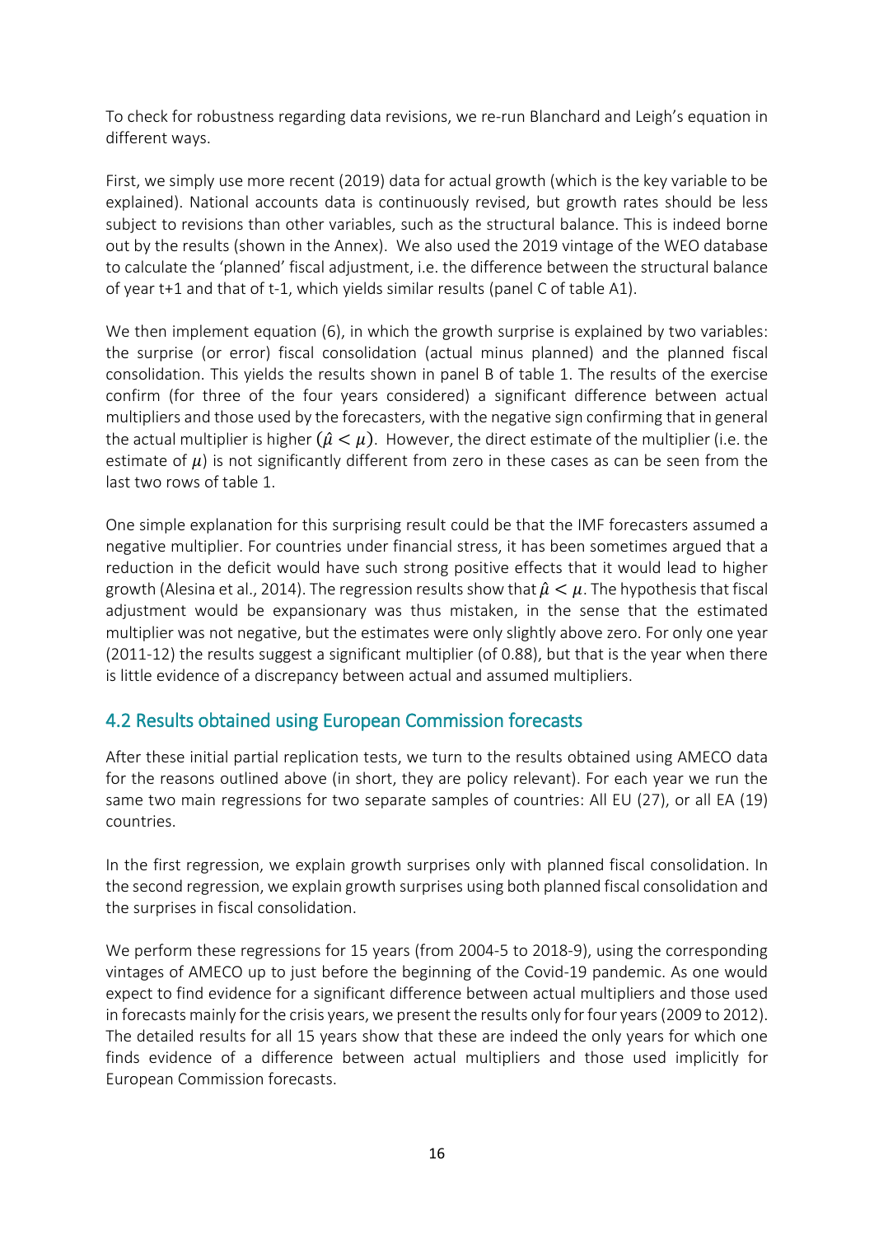To check for robustness regarding data revisions, we re-run Blanchard and Leigh's equation in different ways.

First, we simply use more recent (2019) data for actual growth (which is the key variable to be explained). National accounts data is continuously revised, but growth rates should be less subject to revisions than other variables, such as the structural balance. This is indeed borne out by the results (shown in the Annex). We also used the 2019 vintage of the WEO database to calculate the 'planned' fiscal adjustment, i.e. the difference between the structural balance of year t+1 and that of t-1, which yields similar results (panel C of table A1).

We then implement equation (6), in which the growth surprise is explained by two variables: the surprise (or error) fiscal consolidation (actual minus planned) and the planned fiscal consolidation. This yields the results shown in panel B of table 1. The results of the exercise confirm (for three of the four years considered) a significant difference between actual multipliers and those used by the forecasters, with the negative sign confirming that in general the actual multiplier is higher  $(\hat{\mu} < \mu)$ . However, the direct estimate of the multiplier (i.e. the estimate of  $\mu$ ) is not significantly different from zero in these cases as can be seen from the last two rows of table 1.

One simple explanation for this surprising result could be that the IMF forecasters assumed a negative multiplier. For countries under financial stress, it has been sometimes argued that a reduction in the deficit would have such strong positive effects that it would lead to higher growth (Alesina et al., 2014). The regression results show that  $\hat{\mu} < \mu$ . The hypothesis that fiscal adjustment would be expansionary was thus mistaken, in the sense that the estimated multiplier was not negative, but the estimates were only slightly above zero. For only one year (2011-12) the results suggest a significant multiplier (of 0.88), but that is the year when there is little evidence of a discrepancy between actual and assumed multipliers.

### 4.2 Results obtained using European Commission forecasts

After these initial partial replication tests, we turn to the results obtained using AMECO data for the reasons outlined above (in short, they are policy relevant). For each year we run the same two main regressions for two separate samples of countries: All EU (27), or all EA (19) countries.

In the first regression, we explain growth surprises only with planned fiscal consolidation. In the second regression, we explain growth surprises using both planned fiscal consolidation and the surprises in fiscal consolidation.

We perform these regressions for 15 years (from 2004-5 to 2018-9), using the corresponding vintages of AMECO up to just before the beginning of the Covid-19 pandemic. As one would expect to find evidence for a significant difference between actual multipliers and those used in forecasts mainly for the crisis years, we present the results only for four years (2009 to 2012). The detailed results for all 15 years show that these are indeed the only years for which one finds evidence of a difference between actual multipliers and those used implicitly for European Commission forecasts.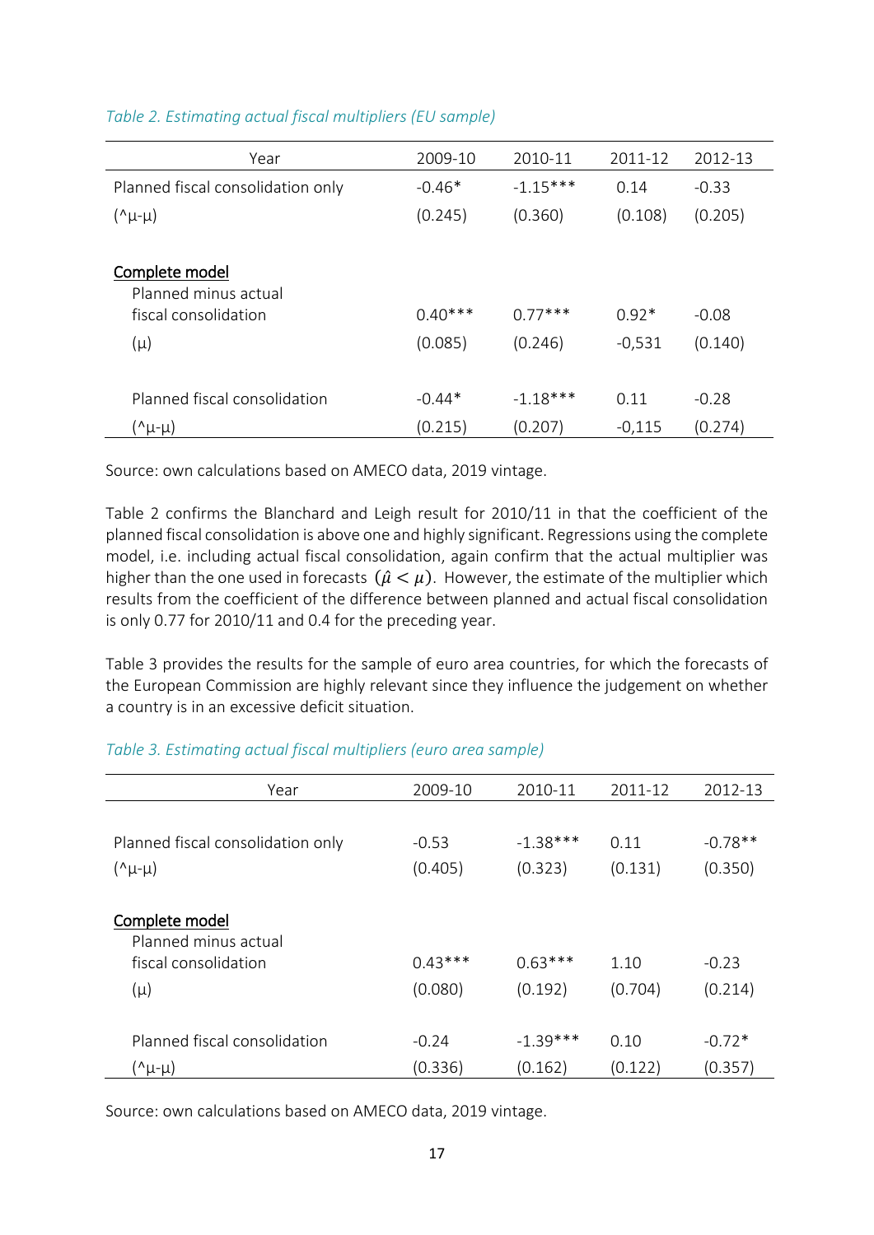| Year                              | 2009-10   | 2010-11    | 2011-12  | 2012-13 |
|-----------------------------------|-----------|------------|----------|---------|
| Planned fiscal consolidation only | $-0.46*$  | $-1.15***$ | 0.14     | $-0.33$ |
| $(\lambda \mu - \mu)$             | (0.245)   | (0.360)    | (0.108)  | (0.205) |
|                                   |           |            |          |         |
| Complete model                    |           |            |          |         |
| Planned minus actual              |           |            |          |         |
| fiscal consolidation              | $0.40***$ | $0.77***$  | $0.92*$  | $-0.08$ |
| $(\mu)$                           | (0.085)   | (0.246)    | $-0,531$ | (0.140) |
|                                   |           |            |          |         |
| Planned fiscal consolidation      | $-0.44*$  | $-1.18***$ | 0.11     | $-0.28$ |
| (^μ-μ)                            | (0.215)   | (0.207)    | $-0,115$ | (0.274) |

#### *Table 2. Estimating actual fiscal multipliers (EU sample)*

Source: own calculations based on AMECO data, 2019 vintage.

Table 2 confirms the Blanchard and Leigh result for 2010/11 in that the coefficient of the planned fiscal consolidation is above one and highly significant. Regressions using the complete model, i.e. including actual fiscal consolidation, again confirm that the actual multiplier was higher than the one used in forecasts  $(\hat{\mu} < \mu)$ . However, the estimate of the multiplier which results from the coefficient of the difference between planned and actual fiscal consolidation is only 0.77 for 2010/11 and 0.4 for the preceding year.

Table 3 provides the results for the sample of euro area countries, for which the forecasts of the European Commission are highly relevant since they influence the judgement on whether a country is in an excessive deficit situation.

#### *Table 3. Estimating actual fiscal multipliers (euro area sample)*

| Year                                                                      | 2009-10              | 2010-11              | 2011-12         | 2012-13            |
|---------------------------------------------------------------------------|----------------------|----------------------|-----------------|--------------------|
| Planned fiscal consolidation only                                         | $-0.53$              | $-1.38***$           | 0.11            | $-0.78**$          |
| $(\lambda \mu - \mu)$                                                     | (0.405)              | (0.323)              | (0.131)         | (0.350)            |
| Complete model<br>Planned minus actual<br>fiscal consolidation<br>$(\mu)$ | $0.43***$<br>(0.080) | $0.63***$<br>(0.192) | 1.10<br>(0.704) | $-0.23$<br>(0.214) |
| Planned fiscal consolidation                                              | $-0.24$              | $-1.39***$           | 0.10            | $-0.72*$           |
| (^μ-μ)                                                                    | (0.336)              | (0.162)              | (0.122)         | (0.357)            |

Source: own calculations based on AMECO data, 2019 vintage.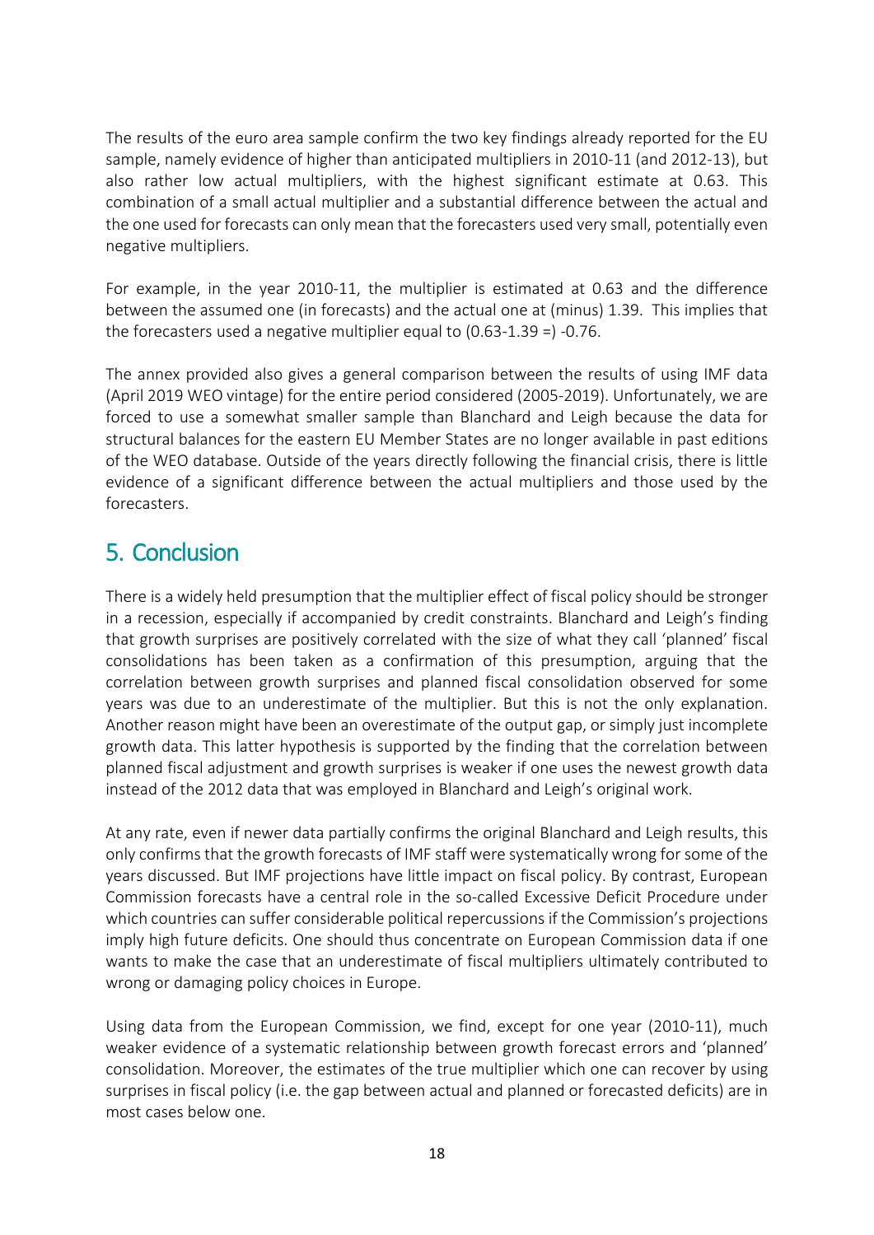The results of the euro area sample confirm the two key findings already reported for the EU sample, namely evidence of higher than anticipated multipliers in 2010-11 (and 2012-13), but also rather low actual multipliers, with the highest significant estimate at 0.63. This combination of a small actual multiplier and a substantial difference between the actual and the one used for forecasts can only mean that the forecasters used very small, potentially even negative multipliers.

For example, in the year 2010-11, the multiplier is estimated at 0.63 and the difference between the assumed one (in forecasts) and the actual one at (minus) 1.39. This implies that the forecasters used a negative multiplier equal to (0.63-1.39 =) -0.76.

The annex provided also gives a general comparison between the results of using IMF data (April 2019 WEO vintage) for the entire period considered (2005-2019). Unfortunately, we are forced to use a somewhat smaller sample than Blanchard and Leigh because the data for structural balances for the eastern EU Member States are no longer available in past editions of the WEO database. Outside of the years directly following the financial crisis, there is little evidence of a significant difference between the actual multipliers and those used by the forecasters.

## 5. Conclusion

There is a widely held presumption that the multiplier effect of fiscal policy should be stronger in a recession, especially if accompanied by credit constraints. Blanchard and Leigh's finding that growth surprises are positively correlated with the size of what they call 'planned' fiscal consolidations has been taken as a confirmation of this presumption, arguing that the correlation between growth surprises and planned fiscal consolidation observed for some years was due to an underestimate of the multiplier. But this is not the only explanation. Another reason might have been an overestimate of the output gap, or simply just incomplete growth data. This latter hypothesis is supported by the finding that the correlation between planned fiscal adjustment and growth surprises is weaker if one uses the newest growth data instead of the 2012 data that was employed in Blanchard and Leigh's original work.

At any rate, even if newer data partially confirms the original Blanchard and Leigh results, this only confirms that the growth forecasts of IMF staff were systematically wrong for some of the years discussed. But IMF projections have little impact on fiscal policy. By contrast, European Commission forecasts have a central role in the so-called Excessive Deficit Procedure under which countries can suffer considerable political repercussions if the Commission's projections imply high future deficits. One should thus concentrate on European Commission data if one wants to make the case that an underestimate of fiscal multipliers ultimately contributed to wrong or damaging policy choices in Europe.

Using data from the European Commission, we find, except for one year (2010-11), much weaker evidence of a systematic relationship between growth forecast errors and 'planned' consolidation. Moreover, the estimates of the true multiplier which one can recover by using surprises in fiscal policy (i.e. the gap between actual and planned or forecasted deficits) are in most cases below one.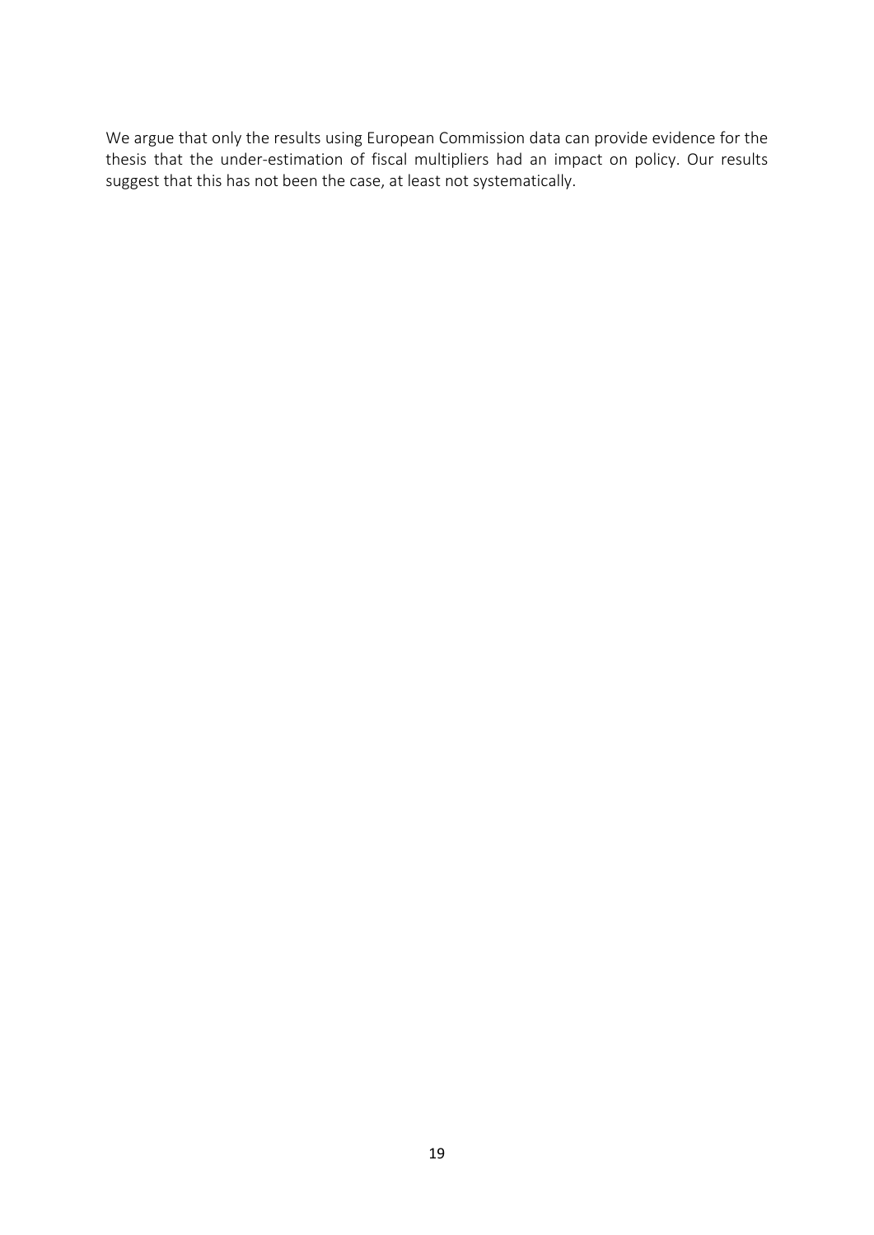We argue that only the results using European Commission data can provide evidence for the thesis that the under-estimation of fiscal multipliers had an impact on policy. Our results suggest that this has not been the case, at least not systematically.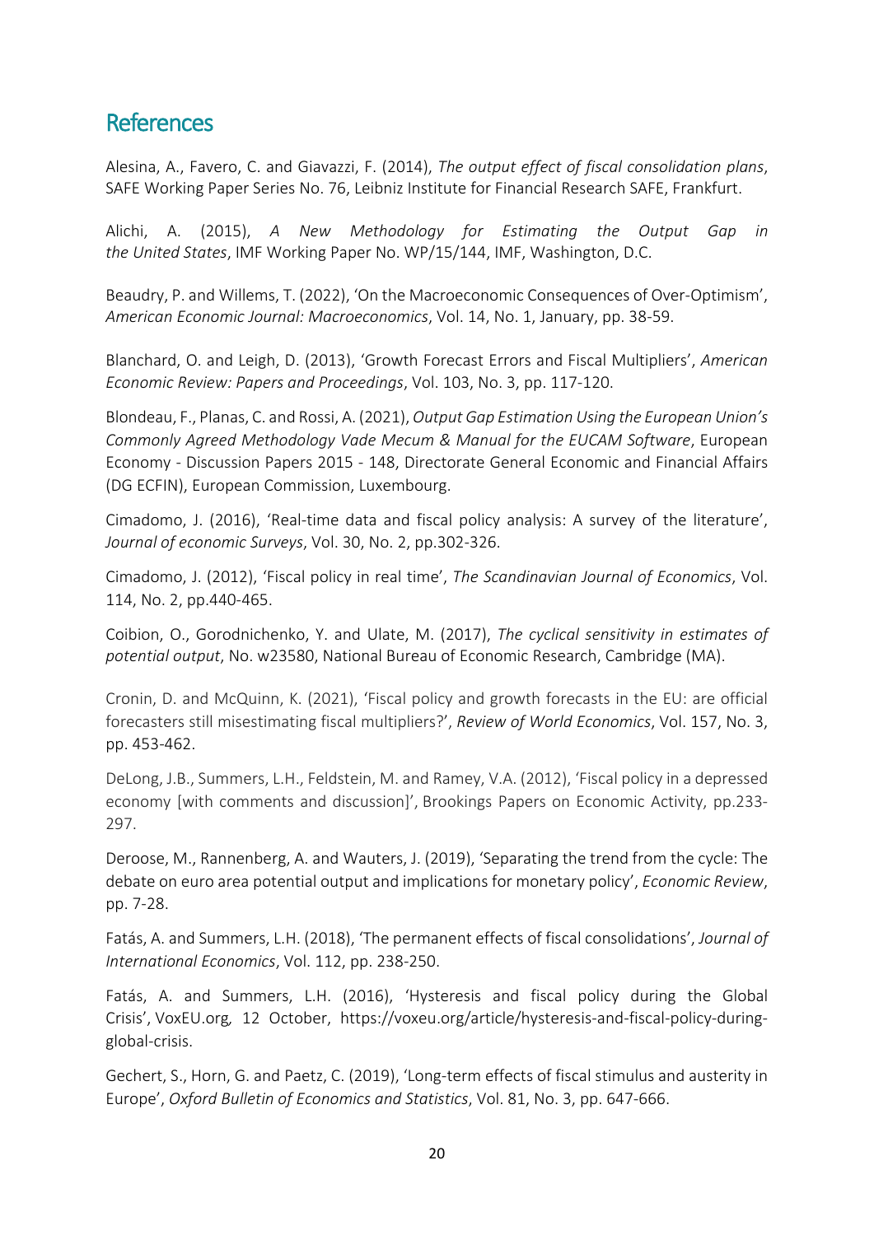## **References**

Alesina, A., Favero, C. and Giavazzi, F. (2014), *The output effect of fiscal consolidation plans*, SAFE Working Paper Series No. 76, Leibniz Institute for Financial Research SAFE, Frankfurt.

Alichi, A. (2015), *A New Methodology for Estimating the Output Gap in the United States*, IMF Working Paper No. WP/15/144, IMF, Washington, D.C.

Beaudry, P. and Willems, T. (2022), 'On the Macroeconomic Consequences of Over-Optimism', *American Economic Journal: Macroeconomics*, Vol. 14, No. 1, January, pp. 38-59.

Blanchard, O. and Leigh, D. (2013), 'Growth Forecast Errors and Fiscal Multipliers', *American Economic Review: Papers and Proceedings*, Vol. 103, No. 3, pp. 117-120.

Blondeau, F., Planas, C. and Rossi, A. (2021), *Output Gap Estimation Using the European Union's Commonly Agreed Methodology Vade Mecum & Manual for the EUCAM Software*, European Economy - Discussion Papers 2015 - 148, Directorate General Economic and Financial Affairs (DG ECFIN), European Commission, Luxembourg.

Cimadomo, J. (2016), 'Real-time data and fiscal policy analysis: A survey of the literature', *Journal of economic Surveys*, Vol. 30, No. 2, pp.302-326.

Cimadomo, J. (2012), 'Fiscal policy in real time', *The Scandinavian Journal of Economics*, Vol. 114, No. 2, pp.440-465.

Coibion, O., Gorodnichenko, Y. and Ulate, M. (2017), *The cyclical sensitivity in estimates of potential output*, No. w23580, National Bureau of Economic Research, Cambridge (MA).

Cronin, D. and McQuinn, K. (2021), 'Fiscal policy and growth forecasts in the EU: are official forecasters still misestimating fiscal multipliers?', *Review of World Economics*, Vol. 157, No. 3, pp. 453-462.

DeLong, J.B., Summers, L.H., Feldstein, M. and Ramey, V.A. (2012), 'Fiscal policy in a depressed economy [with comments and discussion]', Brookings Papers on Economic Activity, pp.233- 297.

Deroose, M., Rannenberg, A. and Wauters, J. (2019), 'Separating the trend from the cycle: The debate on euro area potential output and implications for monetary policy', *Economic Review*, pp. 7-28.

Fatás, A. and Summers, L.H. (2018), ['The permanent effects of fiscal consolidations'](https://ideas.repec.org/a/eee/inecon/v112y2018icp238-250.html), *[Journal of](https://ideas.repec.org/s/eee/inecon.html)  [International Economics](https://ideas.repec.org/s/eee/inecon.html)*, Vol. 112, pp. 238-250.

Fatás, A. and Summers, L.H. (2016), 'Hysteresis and fiscal policy during the Global Crisis', VoxEU.org*,* 12 October, https://voxeu.org/article/hysteresis-and-fiscal-policy-duringglobal-crisis.

Gechert, S., Horn, G. and Paetz, C. (2019), 'Long-term effects of fiscal stimulus and austerity in Europe', *Oxford Bulletin of Economics and Statistics*, Vol. 81, No. 3, pp. 647-666.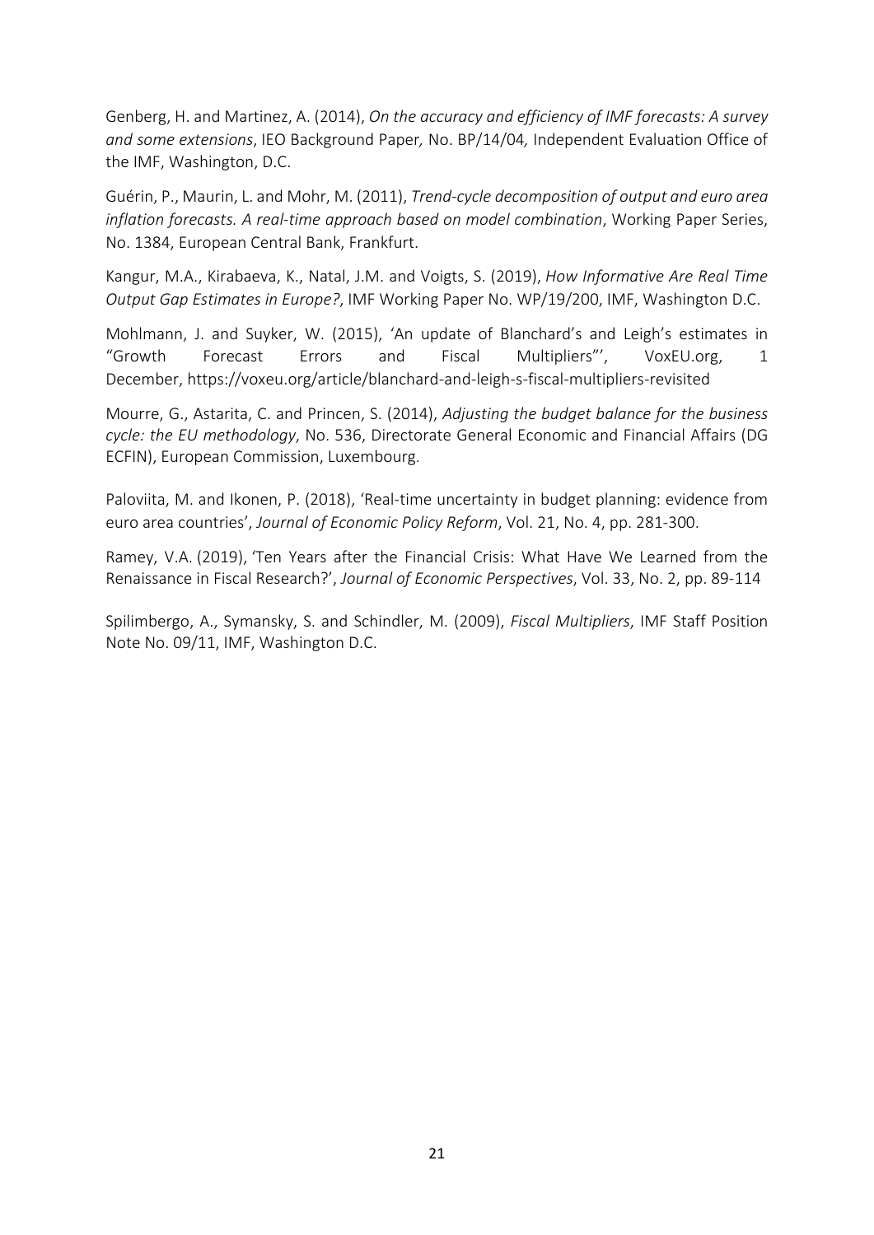Genberg, H. and Martinez, A. (2014), *On the accuracy and efficiency of IMF forecasts: A survey and some extensions*, IEO Background Paper*,* No. BP/14/04*,* Independent Evaluation Office of the IMF, Washington, D.C.

Guérin, P., Maurin, L. and Mohr, M. (2011), *Trend-cycle decomposition of output and euro area inflation forecasts. A real-time approach based on model combination*, Working Paper Series, No. 1384, European Central Bank, Frankfurt.

Kangur, M.A., Kirabaeva, K., Natal, J.M. and Voigts, S. (2019), *How Informative Are Real Time Output Gap Estimates in Europe?*, IMF Working Paper No. WP/19/200, IMF, Washington D.C.

Mohlmann, J. and Suyker, W. (2015), 'An update of Blanchard's and Leigh's estimates in "Growth Forecast Errors and Fiscal Multipliers"', VoxEU.org, 1 December, https://voxeu.org/article/blanchard-and-leigh-s-fiscal-multipliers-revisited

Mourre, G., Astarita, C. and Princen, S. (2014), *Adjusting the budget balance for the business cycle: the EU methodology*, No. 536, Directorate General Economic and Financial Affairs (DG ECFIN), European Commission, Luxembourg.

Paloviita, M. and Ikonen, P. (2018), 'Real-time uncertainty in budget planning: evidence from euro area countries', *Journal of Economic Policy Reform*, Vol. 21, No. 4, pp. 281-300.

Ramey, V.A. (2019), 'Ten Years after the Financial Crisis: What Have We Learned from the Renaissance in Fiscal Research?', *Journal of Economic Perspectives*, Vol. 33, No. 2, pp. 89-114

Spilimbergo, A., Symansky, S. and Schindler, M. (2009), *Fiscal Multipliers*, IMF Staff Position Note No. 09/11, IMF, Washington D.C.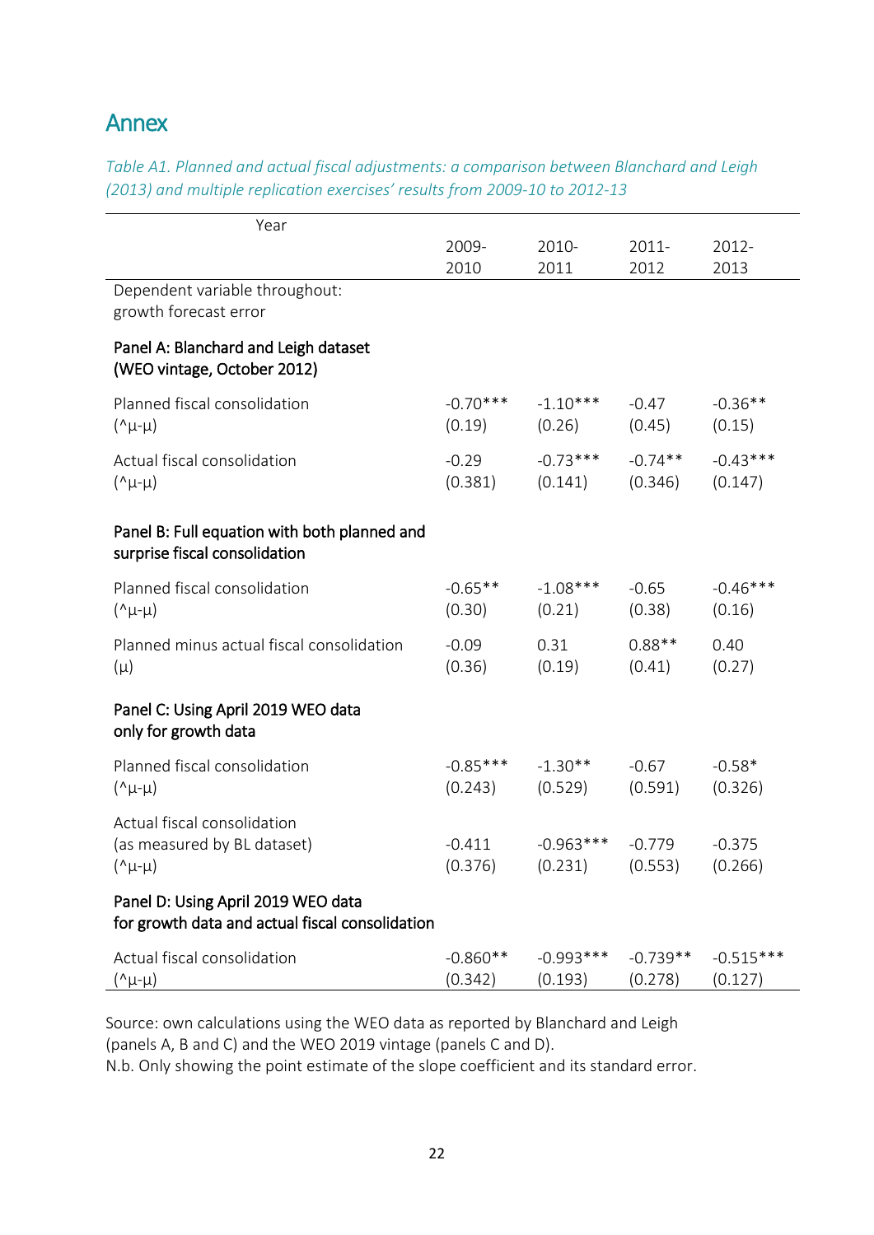## Annex

| Table A1. Planned and actual fiscal dajustments: a comparison between Blanchard and Leign<br>(2013) and multiple replication exercises' results from 2009-10 to 2012-13 |       |       |          |       |
|-------------------------------------------------------------------------------------------------------------------------------------------------------------------------|-------|-------|----------|-------|
| Year                                                                                                                                                                    |       |       |          |       |
|                                                                                                                                                                         | 2009- | 2010- | $2011 -$ | 2012- |
|                                                                                                                                                                         | 2010  | 2011  | 2012     | 2013  |
| Dependent variable throughout:<br>growth forecast error                                                                                                                 |       |       |          |       |
| Panel A: Blanchard and Leigh dataset                                                                                                                                    |       |       |          |       |

*Table A1. Planned and actual fiscal adjustments: a comparison between Blanchard and Leigh* 

# (WEO vintage, October 2012)

| Planned fiscal consolidation<br>$(\lambda \mu - \mu)$                                 | $-0.70***$<br>(0.19)  | $-1.10***$<br>(0.26)               | $-0.47$<br>(0.45)     | $-0.36**$<br>(0.15)    |
|---------------------------------------------------------------------------------------|-----------------------|------------------------------------|-----------------------|------------------------|
| Actual fiscal consolidation<br>$(\lambda \mu - \mu)$                                  | $-0.29$<br>(0.381)    | $-0.73***$<br>(0.141)              | $-0.74**$<br>(0.346)  | $-0.43***$<br>(0.147)  |
| Panel B: Full equation with both planned and<br>surprise fiscal consolidation         |                       |                                    |                       |                        |
| Planned fiscal consolidation<br>$(\lambda \mu - \mu)$                                 | $-0.65$ **<br>(0.30)  | $-1.08***$<br>(0.21)               | $-0.65$<br>(0.38)     | $-0.46***$<br>(0.16)   |
| Planned minus actual fiscal consolidation<br>$(\mu)$                                  | $-0.09$<br>(0.36)     | 0.31<br>(0.19)                     | $0.88**$<br>(0.41)    | 0.40<br>(0.27)         |
| Panel C: Using April 2019 WEO data<br>only for growth data                            |                       |                                    |                       |                        |
| Planned fiscal consolidation<br>$(\lambda \mu - \mu)$                                 | $(0.243)$ $(0.529)$   | $-0.85***$ $-1.30**$               | $-0.67$<br>(0.591)    | $-0.58*$<br>(0.326)    |
| Actual fiscal consolidation<br>(as measured by BL dataset)<br>$(\lambda \mu - \mu)$   | $-0.411$<br>(0.376)   | $-0.963***$<br>$(0.231)$ $(0.553)$ | $-0.779$              | $-0.375$<br>(0.266)    |
| Panel D: Using April 2019 WEO data<br>for growth data and actual fiscal consolidation |                       |                                    |                       |                        |
| Actual fiscal consolidation<br>(^μ-μ)                                                 | $-0.860**$<br>(0.342) | $-0.993***$<br>(0.193)             | $-0.739**$<br>(0.278) | $-0.515***$<br>(0.127) |

Source: own calculations using the WEO data as reported by Blanchard and Leigh (panels A, B and C) and the WEO 2019 vintage (panels C and D).

N.b. Only showing the point estimate of the slope coefficient and its standard error.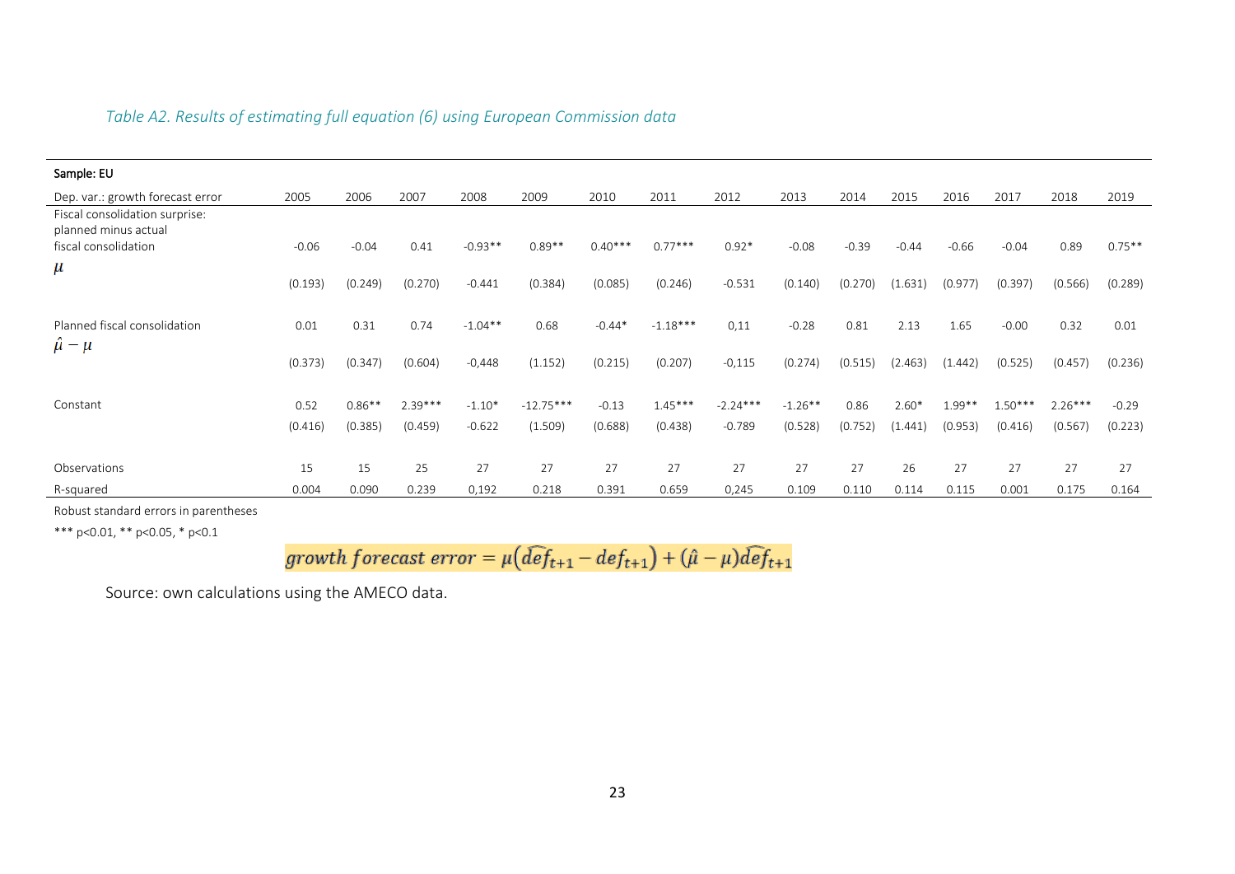| Sample: EU                                             |         |           |           |           |             |           |            |            |           |         |         |          |           |           |           |
|--------------------------------------------------------|---------|-----------|-----------|-----------|-------------|-----------|------------|------------|-----------|---------|---------|----------|-----------|-----------|-----------|
| Dep. var.: growth forecast error                       | 2005    | 2006      | 2007      | 2008      | 2009        | 2010      | 2011       | 2012       | 2013      | 2014    | 2015    | 2016     | 2017      | 2018      | 2019      |
| Fiscal consolidation surprise:<br>planned minus actual |         |           |           |           |             |           |            |            |           |         |         |          |           |           |           |
| fiscal consolidation                                   | $-0.06$ | $-0.04$   | 0.41      | $-0.93**$ | $0.89**$    | $0.40***$ | $0.77***$  | $0.92*$    | $-0.08$   | $-0.39$ | $-0.44$ | $-0.66$  | $-0.04$   | 0.89      | $0.75***$ |
| $\mu$                                                  | (0.193) | (0.249)   | (0.270)   | $-0.441$  | (0.384)     | (0.085)   | (0.246)    | $-0.531$   | (0.140)   | (0.270) | (1.631) | (0.977)  | (0.397)   | (0.566)   | (0.289)   |
| Planned fiscal consolidation<br>$\ddot{\mu} - \mu$     | 0.01    | 0.31      | 0.74      | $-1.04**$ | 0.68        | $-0.44*$  | $-1.18***$ | 0,11       | $-0.28$   | 0.81    | 2.13    | 1.65     | $-0.00$   | 0.32      | 0.01      |
|                                                        | (0.373) | (0.347)   | (0.604)   | $-0,448$  | (1.152)     | (0.215)   | (0.207)    | $-0,115$   | (0.274)   | (0.515) | (2.463) | (1.442)  | (0.525)   | (0.457)   | (0.236)   |
| Constant                                               | 0.52    | $0.86***$ | $2.39***$ | $-1.10*$  | $-12.75***$ | $-0.13$   | $1.45***$  | $-2.24***$ | $-1.26**$ | 0.86    | $2.60*$ | $1.99**$ | $1.50***$ | $2.26***$ | $-0.29$   |
|                                                        | (0.416) | (0.385)   | (0.459)   | $-0.622$  | (1.509)     | (0.688)   | (0.438)    | $-0.789$   | (0.528)   | (0.752) | (1.441) | (0.953)  | (0.416)   | (0.567)   | (0.223)   |
| Observations                                           | 15      | 15        | 25        | 27        | 27          | 27        | 27         | 27         | 27        | 27      | 26      | 27       | 27        | 27        | 27        |
| R-squared                                              | 0.004   | 0.090     | 0.239     | 0,192     | 0.218       | 0.391     | 0.659      | 0,245      | 0.109     | 0.110   | 0.114   | 0.115    | 0.001     | 0.175     | 0.164     |

Robust standard errors in parentheses

\*\*\* p<0.01, \*\* p<0.05, \* p<0.1

$$
growth\ forecast\ error = \mu \big(\widehat{def}_{t+1} - def_{t+1}\big) + (\hat{\mu} - \mu)\widehat{def}_{t+1}
$$

Source: own calculations using the AMECO data.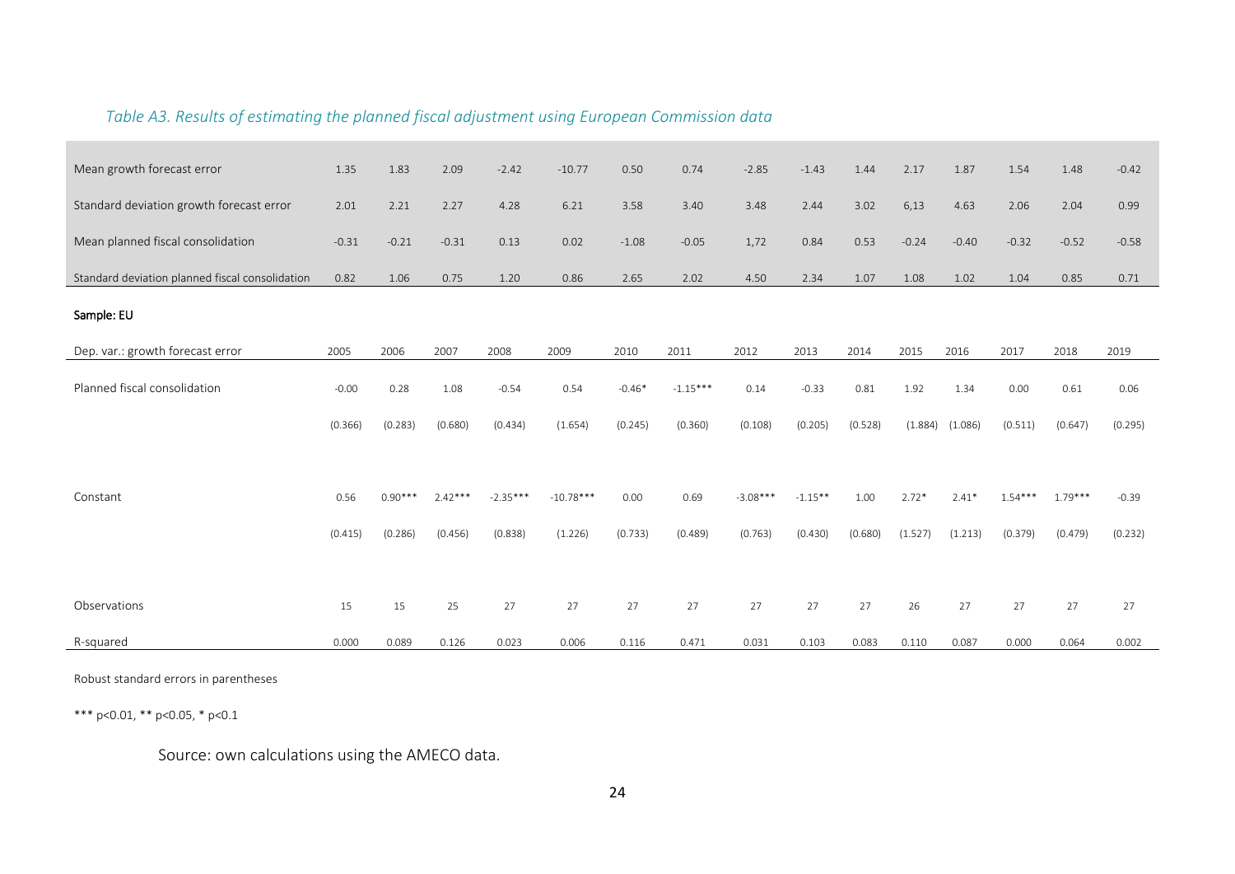| Mean growth forecast error                      | 1.35    | 1.83      | 2.09      | $-2.42$    | $-10.77$    | 0.50     | 0.74       | $-2.85$    | $-1.43$   | 1.44    | 2.17    | 1.87    | 1.54      | 1.48      | $-0.42$ |
|-------------------------------------------------|---------|-----------|-----------|------------|-------------|----------|------------|------------|-----------|---------|---------|---------|-----------|-----------|---------|
| Standard deviation growth forecast error        | 2.01    | 2.21      | 2.27      | 4.28       | 6.21        | 3.58     | 3.40       | 3.48       | 2.44      | 3.02    | 6,13    | 4.63    | 2.06      | 2.04      | 0.99    |
| Mean planned fiscal consolidation               | $-0.31$ | $-0.21$   | $-0.31$   | 0.13       | 0.02        | $-1.08$  | $-0.05$    | 1,72       | 0.84      | 0.53    | $-0.24$ | $-0.40$ | $-0.32$   | $-0.52$   | $-0.58$ |
| Standard deviation planned fiscal consolidation | 0.82    | 1.06      | 0.75      | 1.20       | 0.86        | 2.65     | 2.02       | 4.50       | 2.34      | 1.07    | 1.08    | 1.02    | 1.04      | 0.85      | 0.71    |
| Sample: EU                                      |         |           |           |            |             |          |            |            |           |         |         |         |           |           |         |
| Dep. var.: growth forecast error                | 2005    | 2006      | 2007      | 2008       | 2009        | 2010     | 2011       | 2012       | 2013      | 2014    | 2015    | 2016    | 2017      | 2018      | 2019    |
| Planned fiscal consolidation                    | $-0.00$ | 0.28      | 1.08      | $-0.54$    | 0.54        | $-0.46*$ | $-1.15***$ | 0.14       | $-0.33$   | 0.81    | 1.92    | 1.34    | 0.00      | 0.61      | 0.06    |
|                                                 | (0.366) | (0.283)   | (0.680)   | (0.434)    | (1.654)     | (0.245)  | (0.360)    | (0.108)    | (0.205)   | (0.528) | (1.884) | (1.086) | (0.511)   | (0.647)   | (0.295) |
|                                                 |         |           |           |            |             |          |            |            |           |         |         |         |           |           |         |
| Constant                                        | 0.56    | $0.90***$ | $2.42***$ | $-2.35***$ | $-10.78***$ | 0.00     | 0.69       | $-3.08***$ | $-1.15**$ | 1.00    | $2.72*$ | $2.41*$ | $1.54***$ | $1.79***$ | $-0.39$ |
|                                                 | (0.415) | (0.286)   | (0.456)   | (0.838)    | (1.226)     | (0.733)  | (0.489)    | (0.763)    | (0.430)   | (0.680) | (1.527) | (1.213) | (0.379)   | (0.479)   | (0.232) |
|                                                 |         |           |           |            |             |          |            |            |           |         |         |         |           |           |         |
| Observations                                    | 15      | 15        | 25        | 27         | 27          | 27       | 27         | 27         | 27        | 27      | 26      | 27      | 27        | 27        | 27      |
| R-squared                                       | 0.000   | 0.089     | 0.126     | 0.023      | 0.006       | 0.116    | 0.471      | 0.031      | 0.103     | 0.083   | 0.110   | 0.087   | 0.000     | 0.064     | 0.002   |

*Table A3. Results of estimating the planned fiscal adjustment using European Commission data*

Robust standard errors in parentheses

\*\*\* p<0.01, \*\* p<0.05, \* p<0.1

Source: own calculations using the AMECO data.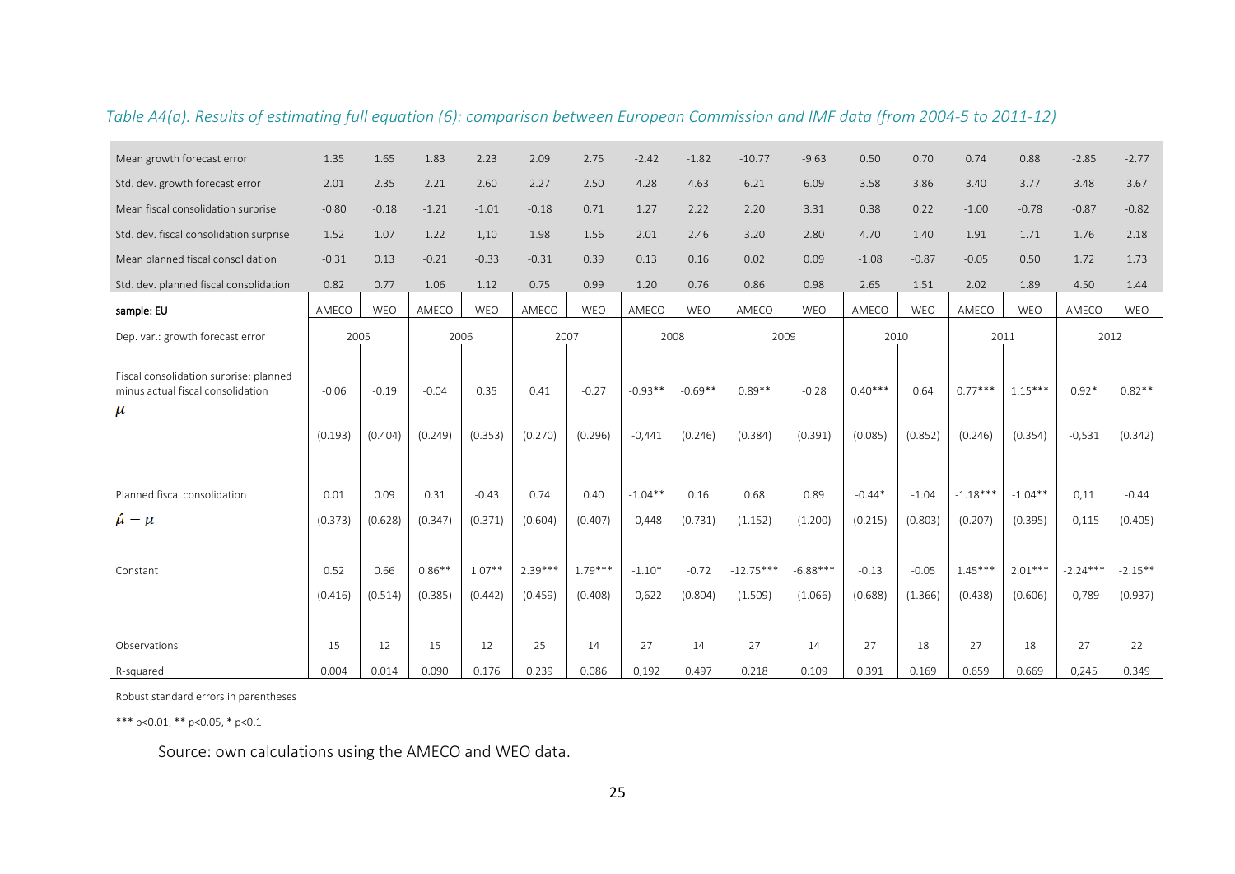| Mean growth forecast error                                                           | 1.35               | 1.65               | 1.83                | 2.23                | 2.09                 | 2.75                 | $-2.42$               | $-1.82$              | $-10.77$               | $-9.63$               | 0.50                 | 0.70               | 0.74                 | 0.88                 | $-2.85$                | $-2.77$              |
|--------------------------------------------------------------------------------------|--------------------|--------------------|---------------------|---------------------|----------------------|----------------------|-----------------------|----------------------|------------------------|-----------------------|----------------------|--------------------|----------------------|----------------------|------------------------|----------------------|
| Std. dev. growth forecast error                                                      | 2.01               | 2.35               | 2.21                | 2.60                | 2.27                 | 2.50                 | 4.28                  | 4.63                 | 6.21                   | 6.09                  | 3.58                 | 3.86               | 3.40                 | 3.77                 | 3.48                   | 3.67                 |
| Mean fiscal consolidation surprise                                                   | $-0.80$            | $-0.18$            | $-1.21$             | $-1.01$             | $-0.18$              | 0.71                 | 1.27                  | 2.22                 | 2.20                   | 3.31                  | 0.38                 | 0.22               | $-1.00$              | $-0.78$              | $-0.87$                | $-0.82$              |
| Std. dev. fiscal consolidation surprise                                              | 1.52               | 1.07               | 1.22                | 1,10                | 1.98                 | 1.56                 | 2.01                  | 2.46                 | 3.20                   | 2.80                  | 4.70                 | 1.40               | 1.91                 | 1.71                 | 1.76                   | 2.18                 |
| Mean planned fiscal consolidation                                                    | $-0.31$            | 0.13               | $-0.21$             | $-0.33$             | $-0.31$              | 0.39                 | 0.13                  | 0.16                 | 0.02                   | 0.09                  | $-1.08$              | $-0.87$            | $-0.05$              | 0.50                 | 1.72                   | 1.73                 |
| Std. dev. planned fiscal consolidation                                               | 0.82               | 0.77               | 1.06                | 1.12                | 0.75                 | 0.99                 | 1.20                  | 0.76                 | 0.86                   | 0.98                  | 2.65                 | 1.51               | 2.02                 | 1.89                 | 4.50                   | 1.44                 |
| sample: EU                                                                           | AMECO              | <b>WEO</b>         | AMECO               | <b>WFO</b>          | AMECO                | WEO                  | AMECO                 | WEO                  | AMECO                  | WEO                   | AMECO                | WEO                | AMECO                | <b>WEO</b>           | AMECO                  | WEO                  |
| Dep. var.: growth forecast error                                                     | 2005               |                    | 2006                |                     | 2007                 |                      | 2008                  |                      | 2009                   |                       | 2010                 |                    |                      | 2011                 | 2012                   |                      |
| Fiscal consolidation surprise: planned<br>minus actual fiscal consolidation<br>$\mu$ | $-0.06$<br>(0.193) | $-0.19$<br>(0.404) | $-0.04$<br>(0.249)  | 0.35<br>(0.353)     | 0.41<br>(0.270)      | $-0.27$<br>(0.296)   | $-0.93**$<br>$-0,441$ | $-0.69**$<br>(0.246) | $0.89**$<br>(0.384)    | $-0.28$<br>(0.391)    | $0.40***$<br>(0.085) | 0.64<br>(0.852)    | $0.77***$<br>(0.246) | $1.15***$<br>(0.354) | $0.92*$<br>$-0,531$    | $0.82**$<br>(0.342)  |
| Planned fiscal consolidation                                                         | 0.01               | 0.09               | 0.31                | $-0.43$             | 0.74                 | 0.40                 | $-1.04**$             | 0.16                 | 0.68                   | 0.89                  | $-0.44*$             | $-1.04$            | $-1.18***$           | $-1.04**$            | 0.11                   | $-0.44$              |
| $\hat{\mu} - \mu$                                                                    | (0.373)            | (0.628)            | (0.347)             | (0.371)             | (0.604)              | (0.407)              | $-0,448$              | (0.731)              | (1.152)                | (1.200)               | (0.215)              | (0.803)            | (0.207)              | (0.395)              | $-0,115$               | (0.405)              |
| Constant                                                                             | 0.52<br>(0.416)    | 0.66<br>(0.514)    | $0.86**$<br>(0.385) | $1.07**$<br>(0.442) | $2.39***$<br>(0.459) | $1.79***$<br>(0.408) | $-1.10*$<br>$-0,622$  | $-0.72$<br>(0.804)   | $-12.75***$<br>(1.509) | $-6.88***$<br>(1.066) | $-0.13$<br>(0.688)   | $-0.05$<br>(1.366) | $1.45***$<br>(0.438) | $2.01***$<br>(0.606) | $-2.24***$<br>$-0,789$ | $-2.15**$<br>(0.937) |
| Observations                                                                         | 15                 | 12                 | 15                  | 12                  | 25                   | 14                   | 27                    | 14                   | 27                     | 14                    | 27                   | 18                 | 27                   | 18                   | 27                     | 22                   |
| R-squared                                                                            | 0.004              | 0.014              | 0.090               | 0.176               | 0.239                | 0.086                | 0,192                 | 0.497                | 0.218                  | 0.109                 | 0.391                | 0.169              | 0.659                | 0.669                | 0,245                  | 0.349                |

*Table A4(a). Results of estimating full equation (6): comparison between European Commission and IMF data (from 2004-5 to 2011-12)*

Robust standard errors in parentheses

\*\*\* p<0.01, \*\* p<0.05, \* p<0.1

Source: own calculations using the AMECO and WEO data.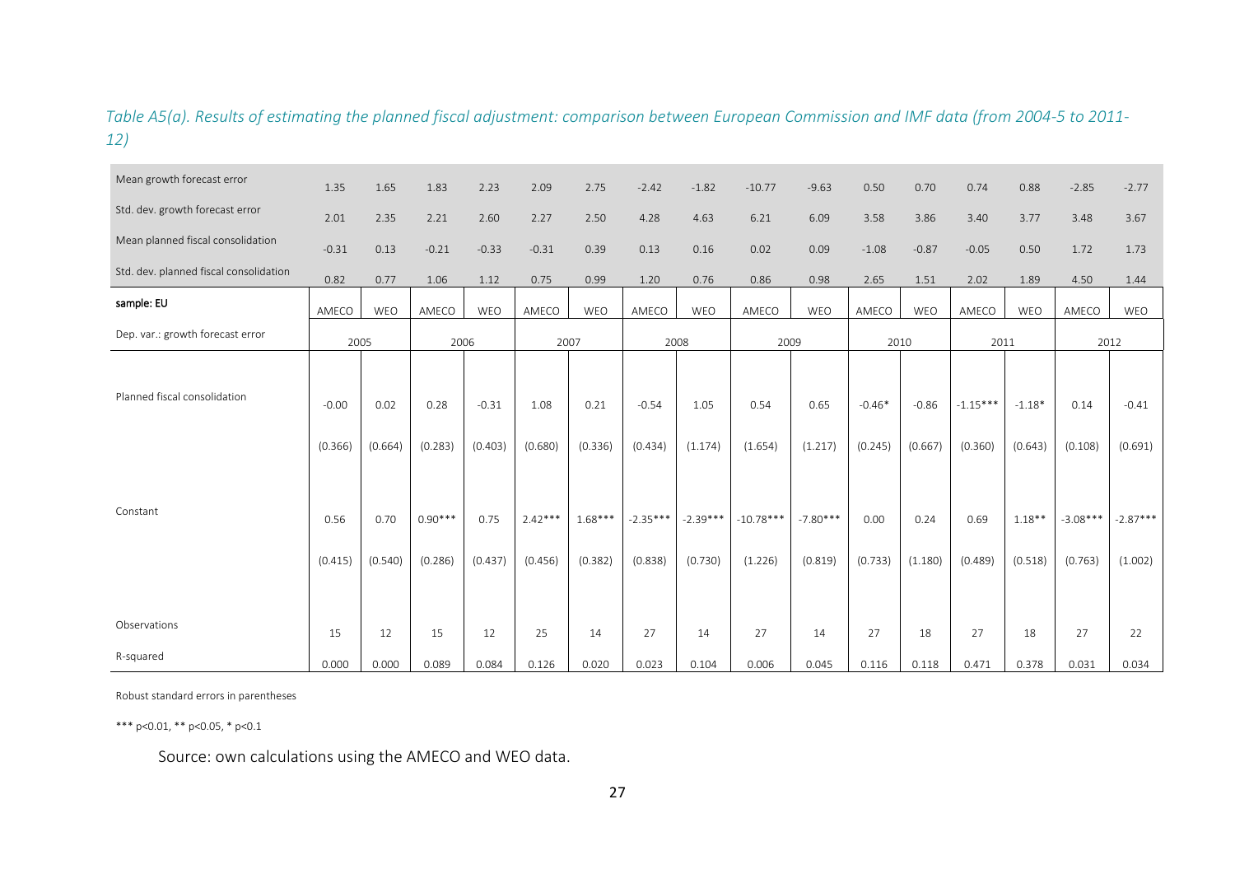### *Table A5(a). Results of estimating the planned fiscal adjustment: comparison between European Commission and IMF data (from 2004-5 to 2011- 12)*

| Mean growth forecast error               | 1.35                                  | 1.65                               | 1.83                                    | 2.23                                  | 2.09                                    | 2.75                                    | $-2.42$                                     | $-1.82$                                  | $-10.77$                                  | $-9.63$                                  | 0.50                                   | 0.70                                  | 0.74                                     | 0.88                                       | $-2.85$                                  | $-2.77$                                     |
|------------------------------------------|---------------------------------------|------------------------------------|-----------------------------------------|---------------------------------------|-----------------------------------------|-----------------------------------------|---------------------------------------------|------------------------------------------|-------------------------------------------|------------------------------------------|----------------------------------------|---------------------------------------|------------------------------------------|--------------------------------------------|------------------------------------------|---------------------------------------------|
| Std. dev. growth forecast error          | 2.01                                  | 2.35                               | 2.21                                    | 2.60                                  | 2.27                                    | 2.50                                    | 4.28                                        | 4.63                                     | 6.21                                      | 6.09                                     | 3.58                                   | 3.86                                  | 3.40                                     | 3.77                                       | 3.48                                     | 3.67                                        |
| Mean planned fiscal consolidation        | $-0.31$                               | 0.13                               | $-0.21$                                 | $-0.33$                               | $-0.31$                                 | 0.39                                    | 0.13                                        | 0.16                                     | 0.02                                      | 0.09                                     | $-1.08$                                | $-0.87$                               | $-0.05$                                  | 0.50                                       | 1.72                                     | 1.73                                        |
| Std. dev. planned fiscal consolidation   | 0.82                                  | 0.77                               | 1.06                                    | 1.12                                  | 0.75                                    | 0.99                                    | 1.20                                        | 0.76                                     | 0.86                                      | 0.98                                     | 2.65                                   | 1.51                                  | 2.02                                     | 1.89                                       | 4.50                                     | 1.44                                        |
| sample: EU                               | AMECO                                 | WEO                                | AMECO                                   | WEO                                   | AMECO                                   | WEO                                     | AMECO                                       | WEO                                      | AMECO                                     | WEO                                      | AMECO                                  | WEO                                   | AMECO                                    | WEO                                        | AMECO                                    | WEO                                         |
| Dep. var.: growth forecast error         | 2005                                  |                                    | 2006                                    |                                       | 2007                                    |                                         | 2008                                        |                                          | 2009                                      |                                          | 2010                                   |                                       | 2011                                     |                                            | 2012                                     |                                             |
| Planned fiscal consolidation<br>Constant | $-0.00$<br>(0.366)<br>0.56<br>(0.415) | 0.02<br>(0.664)<br>0.70<br>(0.540) | 0.28<br>(0.283)<br>$0.90***$<br>(0.286) | $-0.31$<br>(0.403)<br>0.75<br>(0.437) | 1.08<br>(0.680)<br>$2.42***$<br>(0.456) | 0.21<br>(0.336)<br>$1.68***$<br>(0.382) | $-0.54$<br>(0.434)<br>$-2.35***$<br>(0.838) | 1.05<br>(1.174)<br>$-2.39***$<br>(0.730) | 0.54<br>(1.654)<br>$-10.78***$<br>(1.226) | 0.65<br>(1.217)<br>$-7.80***$<br>(0.819) | $-0.46*$<br>(0.245)<br>0.00<br>(0.733) | $-0.86$<br>(0.667)<br>0.24<br>(1.180) | $-1.15***$<br>(0.360)<br>0.69<br>(0.489) | $-1.18*$<br>(0.643)<br>$1.18**$<br>(0.518) | 0.14<br>(0.108)<br>$-3.08***$<br>(0.763) | $-0.41$<br>(0.691)<br>$-2.87***$<br>(1.002) |
| Observations<br>R-squared                | 15<br>0.000                           | 12<br>0.000                        | 15<br>0.089                             | 12<br>0.084                           | 25<br>0.126                             | 14<br>0.020                             | 27<br>0.023                                 | 14<br>0.104                              | 27<br>0.006                               | 14<br>0.045                              | 27<br>0.116                            | 18<br>0.118                           | 27<br>0.471                              | 18<br>0.378                                | 27<br>0.031                              | 22<br>0.034                                 |

Robust standard errors in parentheses

\*\*\* p<0.01, \*\* p<0.05, \* p<0.1

Source: own calculations using the AMECO and WEO data.